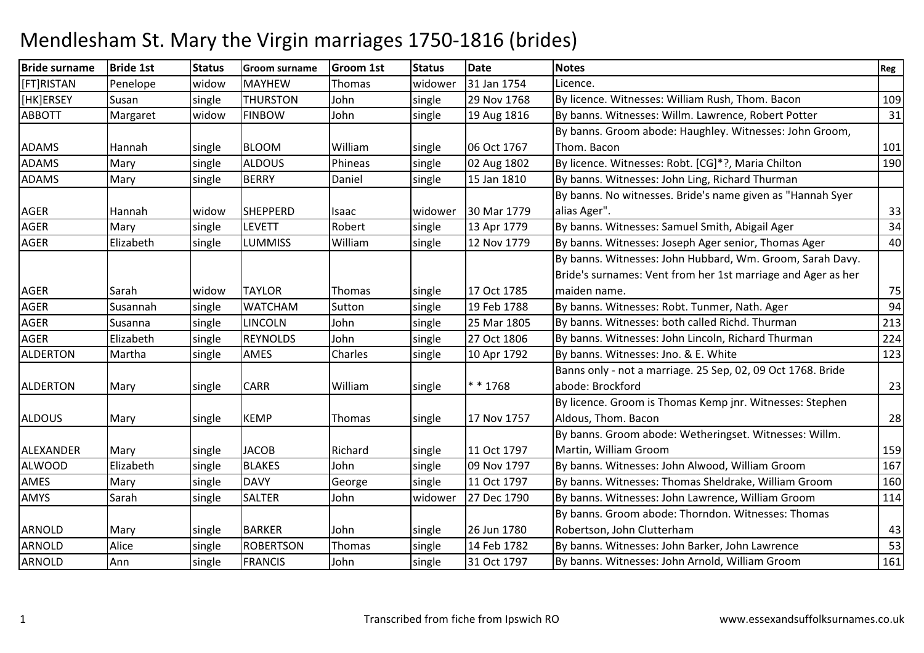| <b>Bride surname</b> | <b>Bride 1st</b> | <b>Status</b> | <b>Groom surname</b> | <b>Groom 1st</b> | <b>Status</b> | <b>Date</b> | <b>Notes</b>                                                 | Reg |
|----------------------|------------------|---------------|----------------------|------------------|---------------|-------------|--------------------------------------------------------------|-----|
| [FT]RISTAN           | Penelope         | widow         | <b>MAYHEW</b>        | Thomas           | widower       | 31 Jan 1754 | Licence.                                                     |     |
| [HK]ERSEY            | Susan            | single        | <b>THURSTON</b>      | John             | single        | 29 Nov 1768 | By licence. Witnesses: William Rush, Thom. Bacon             | 109 |
| <b>ABBOTT</b>        | Margaret         | widow         | <b>FINBOW</b>        | John             | single        | 19 Aug 1816 | By banns. Witnesses: Willm. Lawrence, Robert Potter          | 31  |
|                      |                  |               |                      |                  |               |             | By banns. Groom abode: Haughley. Witnesses: John Groom,      |     |
| <b>ADAMS</b>         | Hannah           | single        | <b>BLOOM</b>         | William          | single        | 06 Oct 1767 | Thom. Bacon                                                  | 101 |
| <b>ADAMS</b>         | Mary             | single        | <b>ALDOUS</b>        | Phineas          | single        | 02 Aug 1802 | By licence. Witnesses: Robt. [CG]*?, Maria Chilton           | 190 |
| <b>ADAMS</b>         | Mary             | single        | <b>BERRY</b>         | Daniel           | single        | 15 Jan 1810 | By banns. Witnesses: John Ling, Richard Thurman              |     |
|                      |                  |               |                      |                  |               |             | By banns. No witnesses. Bride's name given as "Hannah Syer   |     |
| <b>AGER</b>          | Hannah           | widow         | <b>SHEPPERD</b>      | Isaac            | widower       | 30 Mar 1779 | alias Ager".                                                 | 33  |
| <b>AGER</b>          | Mary             | single        | <b>LEVETT</b>        | Robert           | single        | 13 Apr 1779 | By banns. Witnesses: Samuel Smith, Abigail Ager              | 34  |
| <b>AGER</b>          | Elizabeth        | single        | <b>LUMMISS</b>       | William          | single        | 12 Nov 1779 | By banns. Witnesses: Joseph Ager senior, Thomas Ager         | 40  |
|                      |                  |               |                      |                  |               |             | By banns. Witnesses: John Hubbard, Wm. Groom, Sarah Davy.    |     |
|                      |                  |               |                      |                  |               |             | Bride's surnames: Vent from her 1st marriage and Ager as her |     |
| <b>AGER</b>          | Sarah            | widow         | <b>TAYLOR</b>        | Thomas           | single        | 17 Oct 1785 | maiden name.                                                 | 75  |
| <b>AGER</b>          | Susannah         | single        | <b>WATCHAM</b>       | Sutton           | single        | 19 Feb 1788 | By banns. Witnesses: Robt. Tunmer, Nath. Ager                | 94  |
| <b>AGER</b>          | Susanna          | single        | <b>LINCOLN</b>       | John             | single        | 25 Mar 1805 | By banns. Witnesses: both called Richd. Thurman              | 213 |
| <b>AGER</b>          | Elizabeth        | single        | <b>REYNOLDS</b>      | John             | single        | 27 Oct 1806 | By banns. Witnesses: John Lincoln, Richard Thurman           | 224 |
| <b>ALDERTON</b>      | Martha           | single        | AMES                 | Charles          | single        | 10 Apr 1792 | By banns. Witnesses: Jno. & E. White                         | 123 |
|                      |                  |               |                      |                  |               |             | Banns only - not a marriage. 25 Sep, 02, 09 Oct 1768. Bride  |     |
| <b>ALDERTON</b>      | Mary             | single        | <b>CARR</b>          | William          | single        | * * 1768    | abode: Brockford                                             | 23  |
|                      |                  |               |                      |                  |               |             | By licence. Groom is Thomas Kemp jnr. Witnesses: Stephen     |     |
| <b>ALDOUS</b>        | Mary             | single        | <b>KEMP</b>          | Thomas           | single        | 17 Nov 1757 | Aldous, Thom. Bacon                                          | 28  |
|                      |                  |               |                      |                  |               |             | By banns. Groom abode: Wetheringset. Witnesses: Willm.       |     |
| ALEXANDER            | Mary             | single        | <b>JACOB</b>         | Richard          | single        | 11 Oct 1797 | Martin, William Groom                                        | 159 |
| <b>ALWOOD</b>        | Elizabeth        | single        | <b>BLAKES</b>        | John             | single        | 09 Nov 1797 | By banns. Witnesses: John Alwood, William Groom              | 167 |
| AMES                 | Mary             | single        | <b>DAVY</b>          | George           | single        | 11 Oct 1797 | By banns. Witnesses: Thomas Sheldrake, William Groom         | 160 |
| AMYS                 | Sarah            | single        | <b>SALTER</b>        | John             | widower       | 27 Dec 1790 | By banns. Witnesses: John Lawrence, William Groom            | 114 |
|                      |                  |               |                      |                  |               |             | By banns. Groom abode: Thorndon. Witnesses: Thomas           |     |
| ARNOLD               | Mary             | single        | <b>BARKER</b>        | John             | single        | 26 Jun 1780 | Robertson, John Clutterham                                   | 43  |
| <b>ARNOLD</b>        | Alice            | single        | <b>ROBERTSON</b>     | Thomas           | single        | 14 Feb 1782 | By banns. Witnesses: John Barker, John Lawrence              | 53  |
| <b>ARNOLD</b>        | Ann              | single        | <b>FRANCIS</b>       | John             | single        | 31 Oct 1797 | By banns. Witnesses: John Arnold, William Groom              | 161 |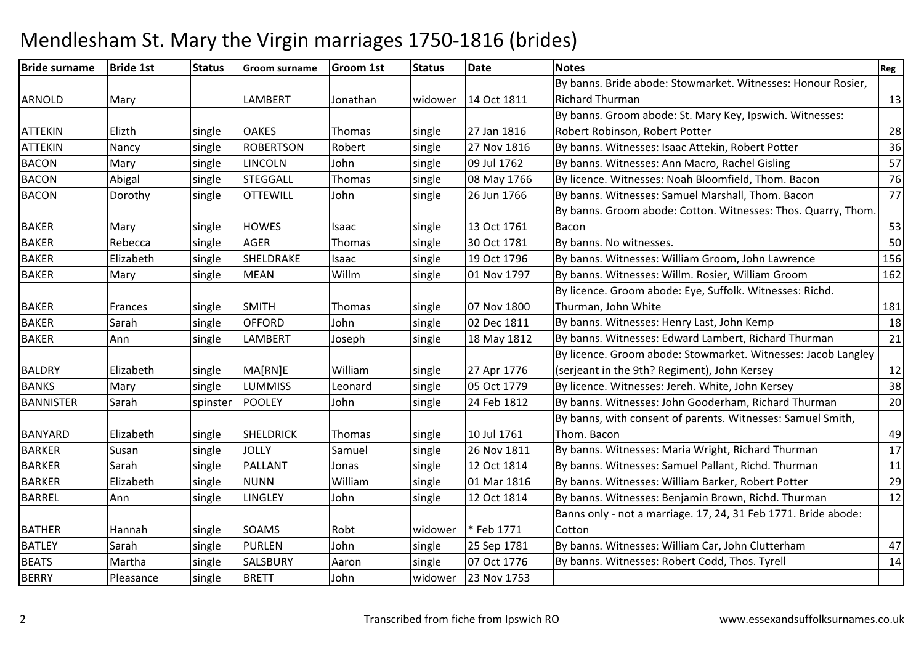| <b>Bride surname</b> | <b>Bride 1st</b> | <b>Status</b> | <b>Groom surname</b> | <b>Groom 1st</b> | <b>Status</b> | <b>Date</b> | <b>Notes</b>                                                   | Reg |
|----------------------|------------------|---------------|----------------------|------------------|---------------|-------------|----------------------------------------------------------------|-----|
|                      |                  |               |                      |                  |               |             | By banns. Bride abode: Stowmarket. Witnesses: Honour Rosier,   |     |
| <b>ARNOLD</b>        | Mary             |               | LAMBERT              | Jonathan         | widower       | 14 Oct 1811 | <b>Richard Thurman</b>                                         | 13  |
|                      |                  |               |                      |                  |               |             | By banns. Groom abode: St. Mary Key, Ipswich. Witnesses:       |     |
| <b>ATTEKIN</b>       | Elizth           | single        | <b>OAKES</b>         | Thomas           | single        | 27 Jan 1816 | Robert Robinson, Robert Potter                                 | 28  |
| <b>ATTEKIN</b>       | Nancy            | single        | <b>ROBERTSON</b>     | Robert           | single        | 27 Nov 1816 | By banns. Witnesses: Isaac Attekin, Robert Potter              | 36  |
| <b>BACON</b>         | Mary             | single        | <b>LINCOLN</b>       | John             | single        | 09 Jul 1762 | By banns. Witnesses: Ann Macro, Rachel Gisling                 | 57  |
| <b>BACON</b>         | Abigal           | single        | <b>STEGGALL</b>      | Thomas           | single        | 08 May 1766 | By licence. Witnesses: Noah Bloomfield, Thom. Bacon            | 76  |
| <b>BACON</b>         | Dorothy          | single        | <b>OTTEWILL</b>      | John             | single        | 26 Jun 1766 | By banns. Witnesses: Samuel Marshall, Thom. Bacon              | 77  |
|                      |                  |               |                      |                  |               |             | By banns. Groom abode: Cotton. Witnesses: Thos. Quarry, Thom.  |     |
| <b>BAKER</b>         | Mary             | single        | <b>HOWES</b>         | Isaac            | single        | 13 Oct 1761 | Bacon                                                          | 53  |
| <b>BAKER</b>         | Rebecca          | single        | <b>AGER</b>          | Thomas           | single        | 30 Oct 1781 | By banns. No witnesses.                                        | 50  |
| <b>BAKER</b>         | Elizabeth        | single        | SHELDRAKE            | Isaac            | single        | 19 Oct 1796 | By banns. Witnesses: William Groom, John Lawrence              | 156 |
| <b>BAKER</b>         | Mary             | single        | <b>MEAN</b>          | Willm            | single        | 01 Nov 1797 | By banns. Witnesses: Willm. Rosier, William Groom              | 162 |
|                      |                  |               |                      |                  |               |             | By licence. Groom abode: Eye, Suffolk. Witnesses: Richd.       |     |
| <b>BAKER</b>         | Frances          | single        | <b>SMITH</b>         | Thomas           | single        | 07 Nov 1800 | Thurman, John White                                            | 181 |
| <b>BAKER</b>         | Sarah            | single        | <b>OFFORD</b>        | John             | single        | 02 Dec 1811 | By banns. Witnesses: Henry Last, John Kemp                     | 18  |
| <b>BAKER</b>         | Ann              | single        | LAMBERT              | Joseph           | single        | 18 May 1812 | By banns. Witnesses: Edward Lambert, Richard Thurman           | 21  |
|                      |                  |               |                      |                  |               |             | By licence. Groom abode: Stowmarket. Witnesses: Jacob Langley  |     |
| <b>BALDRY</b>        | Elizabeth        | single        | MA[RN]E              | William          | single        | 27 Apr 1776 | (serjeant in the 9th? Regiment), John Kersey                   | 12  |
| <b>BANKS</b>         | Mary             | single        | <b>LUMMISS</b>       | Leonard          | single        | 05 Oct 1779 | By licence. Witnesses: Jereh. White, John Kersey               | 38  |
| <b>BANNISTER</b>     | Sarah            | spinster      | <b>POOLEY</b>        | John             | single        | 24 Feb 1812 | By banns. Witnesses: John Gooderham, Richard Thurman           | 20  |
|                      |                  |               |                      |                  |               |             | By banns, with consent of parents. Witnesses: Samuel Smith,    |     |
| <b>BANYARD</b>       | Elizabeth        | single        | <b>SHELDRICK</b>     | Thomas           | single        | 10 Jul 1761 | Thom. Bacon                                                    | 49  |
| <b>BARKER</b>        | Susan            | single        | <b>JOLLY</b>         | Samuel           | single        | 26 Nov 1811 | By banns. Witnesses: Maria Wright, Richard Thurman             | 17  |
| <b>BARKER</b>        | Sarah            | single        | PALLANT              | Jonas            | single        | 12 Oct 1814 | By banns. Witnesses: Samuel Pallant, Richd. Thurman            | 11  |
| <b>BARKER</b>        | Elizabeth        | single        | <b>NUNN</b>          | William          | single        | 01 Mar 1816 | By banns. Witnesses: William Barker, Robert Potter             | 29  |
| <b>BARREL</b>        | Ann              | single        | LINGLEY              | John             | single        | 12 Oct 1814 | By banns. Witnesses: Benjamin Brown, Richd. Thurman            | 12  |
|                      |                  |               |                      |                  |               |             | Banns only - not a marriage. 17, 24, 31 Feb 1771. Bride abode: |     |
| <b>BATHER</b>        | Hannah           | single        | <b>SOAMS</b>         | Robt             | widower       | * Feb 1771  | Cotton                                                         |     |
| <b>BATLEY</b>        | Sarah            | single        | <b>PURLEN</b>        | John             | single        | 25 Sep 1781 | By banns. Witnesses: William Car, John Clutterham              | 47  |
| <b>BEATS</b>         | Martha           | single        | SALSBURY             | Aaron            | single        | 07 Oct 1776 | By banns. Witnesses: Robert Codd, Thos. Tyrell                 | 14  |
| <b>BERRY</b>         | Pleasance        | single        | <b>BRETT</b>         | John             | widower       | 23 Nov 1753 |                                                                |     |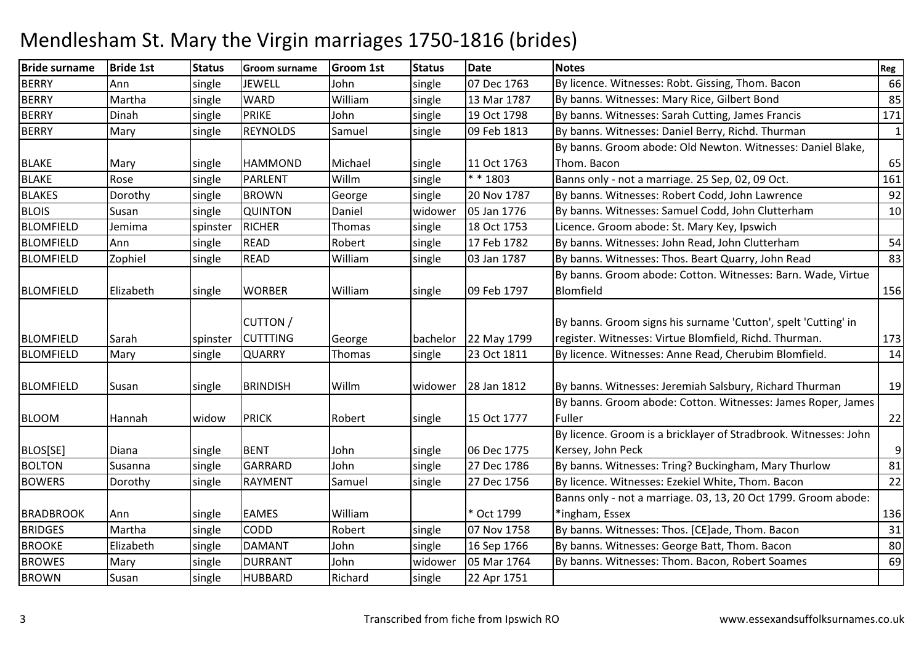| <b>BERRY</b><br>07 Dec 1763<br>66<br>Ann<br><b>JEWELL</b><br>John<br>By licence. Witnesses: Robt. Gissing, Thom. Bacon<br>single<br>single<br><b>BERRY</b><br>By banns. Witnesses: Mary Rice, Gilbert Bond<br><b>WARD</b><br>William<br>85<br>Martha<br>13 Mar 1787<br>single<br>single<br>171<br><b>BERRY</b><br><b>PRIKE</b><br>By banns. Witnesses: Sarah Cutting, James Francis<br>19 Oct 1798<br>Dinah<br>John<br>single<br>single<br>$\mathbf{1}$<br><b>BERRY</b><br><b>REYNOLDS</b><br>Samuel<br>09 Feb 1813<br>By banns. Witnesses: Daniel Berry, Richd. Thurman<br>Mary<br>single<br>single<br>By banns. Groom abode: Old Newton. Witnesses: Daniel Blake,<br><b>BLAKE</b><br>Michael<br>11 Oct 1763<br>Thom. Bacon<br>65<br>single<br><b>HAMMOND</b><br>Mary<br>single<br><b>BLAKE</b><br>* * 1803<br>Willm<br>161<br>Rose<br>PARLENT<br>single<br>Banns only - not a marriage. 25 Sep, 02, 09 Oct.<br>single<br>92<br><b>BLAKES</b><br><b>BROWN</b><br>George<br>20 Nov 1787<br>By banns. Witnesses: Robert Codd, John Lawrence<br>Dorothy<br>single<br>single<br><b>BLOIS</b><br>By banns. Witnesses: Samuel Codd, John Clutterham<br>QUINTON<br>05 Jan 1776<br>10<br>single<br>Daniel<br>widower<br>Susan<br><b>BLOMFIELD</b><br><b>RICHER</b><br>18 Oct 1753<br>Licence. Groom abode: St. Mary Key, Ipswich<br>Jemima<br>Thomas<br>single<br>spinster<br>54<br><b>BLOMFIELD</b><br><b>READ</b><br>17 Feb 1782<br>By banns. Witnesses: John Read, John Clutterham<br>Robert<br>Ann<br>single<br>single<br>83<br><b>BLOMFIELD</b><br>Zophiel<br><b>READ</b><br>William<br>03 Jan 1787<br>By banns. Witnesses: Thos. Beart Quarry, John Read<br>single<br>single<br>By banns. Groom abode: Cotton. Witnesses: Barn. Wade, Virtue<br><b>BLOMFIELD</b><br>William<br>09 Feb 1797<br>Blomfield<br>156<br>Elizabeth<br><b>WORBER</b><br>single<br>single<br><b>CUTTON /</b><br>By banns. Groom signs his surname 'Cutton', spelt 'Cutting' in<br><b>CUTTTING</b><br>register. Witnesses: Virtue Blomfield, Richd. Thurman.<br>173<br><b>BLOMFIELD</b><br>bachelor<br>22 May 1799<br>Sarah<br>spinster<br>George |
|------------------------------------------------------------------------------------------------------------------------------------------------------------------------------------------------------------------------------------------------------------------------------------------------------------------------------------------------------------------------------------------------------------------------------------------------------------------------------------------------------------------------------------------------------------------------------------------------------------------------------------------------------------------------------------------------------------------------------------------------------------------------------------------------------------------------------------------------------------------------------------------------------------------------------------------------------------------------------------------------------------------------------------------------------------------------------------------------------------------------------------------------------------------------------------------------------------------------------------------------------------------------------------------------------------------------------------------------------------------------------------------------------------------------------------------------------------------------------------------------------------------------------------------------------------------------------------------------------------------------------------------------------------------------------------------------------------------------------------------------------------------------------------------------------------------------------------------------------------------------------------------------------------------------------------------------------------------------------------------------------------------------------------------------------------------------------------------------------------------------|
|                                                                                                                                                                                                                                                                                                                                                                                                                                                                                                                                                                                                                                                                                                                                                                                                                                                                                                                                                                                                                                                                                                                                                                                                                                                                                                                                                                                                                                                                                                                                                                                                                                                                                                                                                                                                                                                                                                                                                                                                                                                                                                                        |
|                                                                                                                                                                                                                                                                                                                                                                                                                                                                                                                                                                                                                                                                                                                                                                                                                                                                                                                                                                                                                                                                                                                                                                                                                                                                                                                                                                                                                                                                                                                                                                                                                                                                                                                                                                                                                                                                                                                                                                                                                                                                                                                        |
|                                                                                                                                                                                                                                                                                                                                                                                                                                                                                                                                                                                                                                                                                                                                                                                                                                                                                                                                                                                                                                                                                                                                                                                                                                                                                                                                                                                                                                                                                                                                                                                                                                                                                                                                                                                                                                                                                                                                                                                                                                                                                                                        |
|                                                                                                                                                                                                                                                                                                                                                                                                                                                                                                                                                                                                                                                                                                                                                                                                                                                                                                                                                                                                                                                                                                                                                                                                                                                                                                                                                                                                                                                                                                                                                                                                                                                                                                                                                                                                                                                                                                                                                                                                                                                                                                                        |
|                                                                                                                                                                                                                                                                                                                                                                                                                                                                                                                                                                                                                                                                                                                                                                                                                                                                                                                                                                                                                                                                                                                                                                                                                                                                                                                                                                                                                                                                                                                                                                                                                                                                                                                                                                                                                                                                                                                                                                                                                                                                                                                        |
|                                                                                                                                                                                                                                                                                                                                                                                                                                                                                                                                                                                                                                                                                                                                                                                                                                                                                                                                                                                                                                                                                                                                                                                                                                                                                                                                                                                                                                                                                                                                                                                                                                                                                                                                                                                                                                                                                                                                                                                                                                                                                                                        |
|                                                                                                                                                                                                                                                                                                                                                                                                                                                                                                                                                                                                                                                                                                                                                                                                                                                                                                                                                                                                                                                                                                                                                                                                                                                                                                                                                                                                                                                                                                                                                                                                                                                                                                                                                                                                                                                                                                                                                                                                                                                                                                                        |
|                                                                                                                                                                                                                                                                                                                                                                                                                                                                                                                                                                                                                                                                                                                                                                                                                                                                                                                                                                                                                                                                                                                                                                                                                                                                                                                                                                                                                                                                                                                                                                                                                                                                                                                                                                                                                                                                                                                                                                                                                                                                                                                        |
|                                                                                                                                                                                                                                                                                                                                                                                                                                                                                                                                                                                                                                                                                                                                                                                                                                                                                                                                                                                                                                                                                                                                                                                                                                                                                                                                                                                                                                                                                                                                                                                                                                                                                                                                                                                                                                                                                                                                                                                                                                                                                                                        |
|                                                                                                                                                                                                                                                                                                                                                                                                                                                                                                                                                                                                                                                                                                                                                                                                                                                                                                                                                                                                                                                                                                                                                                                                                                                                                                                                                                                                                                                                                                                                                                                                                                                                                                                                                                                                                                                                                                                                                                                                                                                                                                                        |
|                                                                                                                                                                                                                                                                                                                                                                                                                                                                                                                                                                                                                                                                                                                                                                                                                                                                                                                                                                                                                                                                                                                                                                                                                                                                                                                                                                                                                                                                                                                                                                                                                                                                                                                                                                                                                                                                                                                                                                                                                                                                                                                        |
|                                                                                                                                                                                                                                                                                                                                                                                                                                                                                                                                                                                                                                                                                                                                                                                                                                                                                                                                                                                                                                                                                                                                                                                                                                                                                                                                                                                                                                                                                                                                                                                                                                                                                                                                                                                                                                                                                                                                                                                                                                                                                                                        |
|                                                                                                                                                                                                                                                                                                                                                                                                                                                                                                                                                                                                                                                                                                                                                                                                                                                                                                                                                                                                                                                                                                                                                                                                                                                                                                                                                                                                                                                                                                                                                                                                                                                                                                                                                                                                                                                                                                                                                                                                                                                                                                                        |
|                                                                                                                                                                                                                                                                                                                                                                                                                                                                                                                                                                                                                                                                                                                                                                                                                                                                                                                                                                                                                                                                                                                                                                                                                                                                                                                                                                                                                                                                                                                                                                                                                                                                                                                                                                                                                                                                                                                                                                                                                                                                                                                        |
|                                                                                                                                                                                                                                                                                                                                                                                                                                                                                                                                                                                                                                                                                                                                                                                                                                                                                                                                                                                                                                                                                                                                                                                                                                                                                                                                                                                                                                                                                                                                                                                                                                                                                                                                                                                                                                                                                                                                                                                                                                                                                                                        |
| <b>BLOMFIELD</b><br>14<br><b>QUARRY</b><br>23 Oct 1811<br>By licence. Witnesses: Anne Read, Cherubim Blomfield.<br>Mary<br>single<br>Thomas<br>single                                                                                                                                                                                                                                                                                                                                                                                                                                                                                                                                                                                                                                                                                                                                                                                                                                                                                                                                                                                                                                                                                                                                                                                                                                                                                                                                                                                                                                                                                                                                                                                                                                                                                                                                                                                                                                                                                                                                                                  |
| 19<br>28 Jan 1812<br>By banns. Witnesses: Jeremiah Salsbury, Richard Thurman<br><b>BLOMFIELD</b><br><b>BRINDISH</b><br>Willm<br>single<br>widower<br>Susan<br>By banns. Groom abode: Cotton. Witnesses: James Roper, James                                                                                                                                                                                                                                                                                                                                                                                                                                                                                                                                                                                                                                                                                                                                                                                                                                                                                                                                                                                                                                                                                                                                                                                                                                                                                                                                                                                                                                                                                                                                                                                                                                                                                                                                                                                                                                                                                             |
| <b>BLOOM</b><br><b>PRICK</b><br>Fuller<br>22<br>Robert<br>15 Oct 1777<br>widow<br>single<br>Hannah                                                                                                                                                                                                                                                                                                                                                                                                                                                                                                                                                                                                                                                                                                                                                                                                                                                                                                                                                                                                                                                                                                                                                                                                                                                                                                                                                                                                                                                                                                                                                                                                                                                                                                                                                                                                                                                                                                                                                                                                                     |
| By licence. Groom is a bricklayer of Stradbrook. Witnesses: John                                                                                                                                                                                                                                                                                                                                                                                                                                                                                                                                                                                                                                                                                                                                                                                                                                                                                                                                                                                                                                                                                                                                                                                                                                                                                                                                                                                                                                                                                                                                                                                                                                                                                                                                                                                                                                                                                                                                                                                                                                                       |
| $\mathsf 9$<br><b>BENT</b><br>06 Dec 1775<br>Kersey, John Peck<br>BLOS[SE]<br>John<br>single<br>Diana<br>single                                                                                                                                                                                                                                                                                                                                                                                                                                                                                                                                                                                                                                                                                                                                                                                                                                                                                                                                                                                                                                                                                                                                                                                                                                                                                                                                                                                                                                                                                                                                                                                                                                                                                                                                                                                                                                                                                                                                                                                                        |
| <b>BOLTON</b><br><b>GARRARD</b><br>27 Dec 1786<br>By banns. Witnesses: Tring? Buckingham, Mary Thurlow<br>81<br>single<br>John<br>single<br>Susanna                                                                                                                                                                                                                                                                                                                                                                                                                                                                                                                                                                                                                                                                                                                                                                                                                                                                                                                                                                                                                                                                                                                                                                                                                                                                                                                                                                                                                                                                                                                                                                                                                                                                                                                                                                                                                                                                                                                                                                    |
| <b>BOWERS</b><br>By licence. Witnesses: Ezekiel White, Thom. Bacon<br>22<br>single<br><b>RAYMENT</b><br>27 Dec 1756<br>Dorothy<br>Samuel<br>single                                                                                                                                                                                                                                                                                                                                                                                                                                                                                                                                                                                                                                                                                                                                                                                                                                                                                                                                                                                                                                                                                                                                                                                                                                                                                                                                                                                                                                                                                                                                                                                                                                                                                                                                                                                                                                                                                                                                                                     |
| Banns only - not a marriage. 03, 13, 20 Oct 1799. Groom abode:                                                                                                                                                                                                                                                                                                                                                                                                                                                                                                                                                                                                                                                                                                                                                                                                                                                                                                                                                                                                                                                                                                                                                                                                                                                                                                                                                                                                                                                                                                                                                                                                                                                                                                                                                                                                                                                                                                                                                                                                                                                         |
| 136<br><b>BRADBROOK</b><br><b>EAMES</b><br>William<br>* Oct 1799<br>*ingham, Essex<br>single<br>Ann                                                                                                                                                                                                                                                                                                                                                                                                                                                                                                                                                                                                                                                                                                                                                                                                                                                                                                                                                                                                                                                                                                                                                                                                                                                                                                                                                                                                                                                                                                                                                                                                                                                                                                                                                                                                                                                                                                                                                                                                                    |
| <b>BRIDGES</b><br>Robert<br>07 Nov 1758<br>By banns. Witnesses: Thos. [CE]ade, Thom. Bacon<br>31<br>Martha<br>single<br><b>CODD</b><br>single                                                                                                                                                                                                                                                                                                                                                                                                                                                                                                                                                                                                                                                                                                                                                                                                                                                                                                                                                                                                                                                                                                                                                                                                                                                                                                                                                                                                                                                                                                                                                                                                                                                                                                                                                                                                                                                                                                                                                                          |
| <b>BROOKE</b><br>By banns. Witnesses: George Batt, Thom. Bacon<br>Elizabeth<br><b>DAMANT</b><br>John<br>16 Sep 1766<br>80<br>single<br>single                                                                                                                                                                                                                                                                                                                                                                                                                                                                                                                                                                                                                                                                                                                                                                                                                                                                                                                                                                                                                                                                                                                                                                                                                                                                                                                                                                                                                                                                                                                                                                                                                                                                                                                                                                                                                                                                                                                                                                          |
| <b>BROWES</b><br>05 Mar 1764<br>By banns. Witnesses: Thom. Bacon, Robert Soames<br><b>DURRANT</b><br>69<br>Mary<br>single<br>John<br>widower                                                                                                                                                                                                                                                                                                                                                                                                                                                                                                                                                                                                                                                                                                                                                                                                                                                                                                                                                                                                                                                                                                                                                                                                                                                                                                                                                                                                                                                                                                                                                                                                                                                                                                                                                                                                                                                                                                                                                                           |
| <b>BROWN</b><br>single<br><b>HUBBARD</b><br>Richard<br>22 Apr 1751<br>Susan<br>single                                                                                                                                                                                                                                                                                                                                                                                                                                                                                                                                                                                                                                                                                                                                                                                                                                                                                                                                                                                                                                                                                                                                                                                                                                                                                                                                                                                                                                                                                                                                                                                                                                                                                                                                                                                                                                                                                                                                                                                                                                  |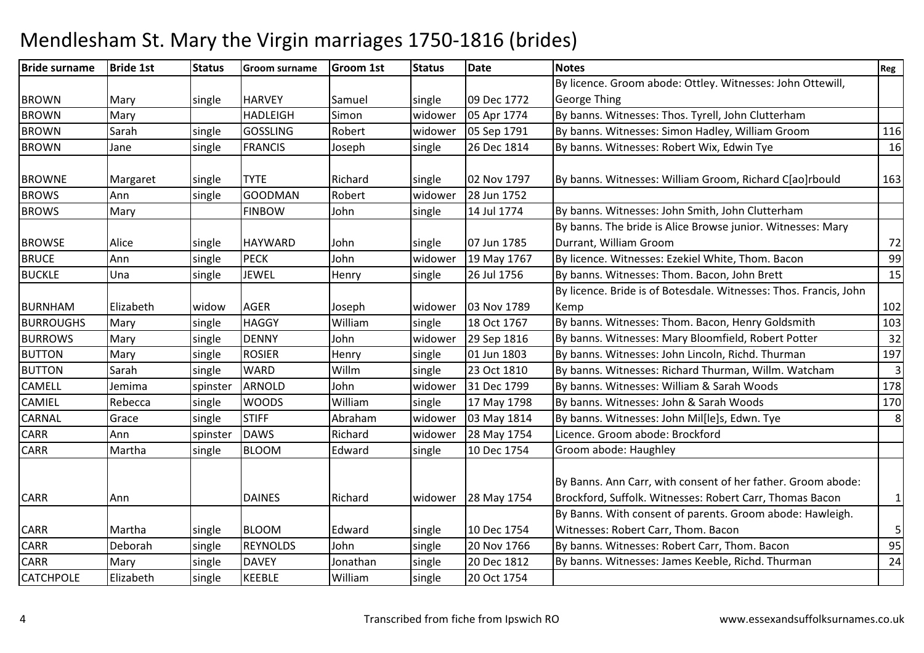| <b>Bride surname</b> | <b>Bride 1st</b> | <b>Status</b> | Groom surname   | <b>Groom 1st</b> | <b>Status</b> | <b>Date</b> | <b>Notes</b>                                                      | Reg            |
|----------------------|------------------|---------------|-----------------|------------------|---------------|-------------|-------------------------------------------------------------------|----------------|
|                      |                  |               |                 |                  |               |             | By licence. Groom abode: Ottley. Witnesses: John Ottewill,        |                |
| <b>BROWN</b>         | Mary             | single        | <b>HARVEY</b>   | Samuel           | single        | 09 Dec 1772 | <b>George Thing</b>                                               |                |
| <b>BROWN</b>         | Mary             |               | <b>HADLEIGH</b> | Simon            | widower       | 05 Apr 1774 | By banns. Witnesses: Thos. Tyrell, John Clutterham                |                |
| <b>BROWN</b>         | Sarah            | single        | <b>GOSSLING</b> | Robert           | widower       | 05 Sep 1791 | By banns. Witnesses: Simon Hadley, William Groom                  | 116            |
| <b>BROWN</b>         | Jane             | single        | <b>FRANCIS</b>  | Joseph           | single        | 26 Dec 1814 | By banns. Witnesses: Robert Wix, Edwin Tye                        | 16             |
| <b>BROWNE</b>        | Margaret         | single        | <b>TYTE</b>     | Richard          | single        | 02 Nov 1797 | By banns. Witnesses: William Groom, Richard C[ao]rbould           | 163            |
| <b>BROWS</b>         | Ann              | single        | <b>GOODMAN</b>  | Robert           | widower       | 28 Jun 1752 |                                                                   |                |
| <b>BROWS</b>         | Mary             |               | <b>FINBOW</b>   | John             | single        | 14 Jul 1774 | By banns. Witnesses: John Smith, John Clutterham                  |                |
|                      |                  |               |                 |                  |               |             | By banns. The bride is Alice Browse junior. Witnesses: Mary       |                |
| <b>BROWSE</b>        | Alice            | single        | <b>HAYWARD</b>  | John             | single        | 07 Jun 1785 | Durrant, William Groom                                            | 72             |
| <b>BRUCE</b>         | Ann              | single        | <b>PECK</b>     | John             | widower       | 19 May 1767 | By licence. Witnesses: Ezekiel White, Thom. Bacon                 | 99             |
| <b>BUCKLE</b>        | Una              | single        | JEWEL           | Henry            | single        | 26 Jul 1756 | By banns. Witnesses: Thom. Bacon, John Brett                      | 15             |
|                      |                  |               |                 |                  |               |             | By licence. Bride is of Botesdale. Witnesses: Thos. Francis, John |                |
| <b>BURNHAM</b>       | Elizabeth        | widow         | <b>AGER</b>     | Joseph           | widower       | 03 Nov 1789 | Kemp                                                              | 102            |
| <b>BURROUGHS</b>     | Mary             | single        | <b>HAGGY</b>    | William          | single        | 18 Oct 1767 | By banns. Witnesses: Thom. Bacon, Henry Goldsmith                 | 103            |
| <b>BURROWS</b>       | Mary             | single        | <b>DENNY</b>    | John             | widower       | 29 Sep 1816 | By banns. Witnesses: Mary Bloomfield, Robert Potter               | 32             |
| <b>BUTTON</b>        | Mary             | single        | <b>ROSIER</b>   | Henry            | single        | 01 Jun 1803 | By banns. Witnesses: John Lincoln, Richd. Thurman                 | 197            |
| <b>BUTTON</b>        | Sarah            | single        | <b>WARD</b>     | Willm            | single        | 23 Oct 1810 | By banns. Witnesses: Richard Thurman, Willm. Watcham              | $\overline{3}$ |
| <b>CAMELL</b>        | Jemima           | spinster      | <b>ARNOLD</b>   | John             | widower       | 31 Dec 1799 | By banns. Witnesses: William & Sarah Woods                        | 178            |
| <b>CAMIEL</b>        | Rebecca          | single        | <b>WOODS</b>    | William          | single        | 17 May 1798 | By banns. Witnesses: John & Sarah Woods                           | 170            |
| <b>CARNAL</b>        | Grace            | single        | <b>STIFF</b>    | Abraham          | widower       | 03 May 1814 | By banns. Witnesses: John Mil[le]s, Edwn. Tye                     | 8              |
| <b>CARR</b>          | Ann              | spinster      | <b>DAWS</b>     | Richard          | widower       | 28 May 1754 | Licence. Groom abode: Brockford                                   |                |
| <b>CARR</b>          | Martha           | single        | <b>BLOOM</b>    | Edward           | single        | 10 Dec 1754 | Groom abode: Haughley                                             |                |
|                      |                  |               |                 |                  |               |             | By Banns. Ann Carr, with consent of her father. Groom abode:      |                |
| <b>CARR</b>          | Ann              |               | <b>DAINES</b>   | Richard          | widower       | 28 May 1754 | Brockford, Suffolk. Witnesses: Robert Carr, Thomas Bacon          | $\mathbf{1}$   |
|                      |                  |               |                 |                  |               |             | By Banns. With consent of parents. Groom abode: Hawleigh.         |                |
| <b>CARR</b>          | Martha           | single        | <b>BLOOM</b>    | Edward           | single        | 10 Dec 1754 | Witnesses: Robert Carr, Thom. Bacon                               | 5              |
| <b>CARR</b>          | Deborah          | single        | <b>REYNOLDS</b> | John             | single        | 20 Nov 1766 | By banns. Witnesses: Robert Carr, Thom. Bacon                     | 95             |
| <b>CARR</b>          | Mary             | single        | <b>DAVEY</b>    | Jonathan         | single        | 20 Dec 1812 | By banns. Witnesses: James Keeble, Richd. Thurman                 | 24             |
| <b>CATCHPOLE</b>     | Elizabeth        | single        | <b>KEEBLE</b>   | William          | single        | 20 Oct 1754 |                                                                   |                |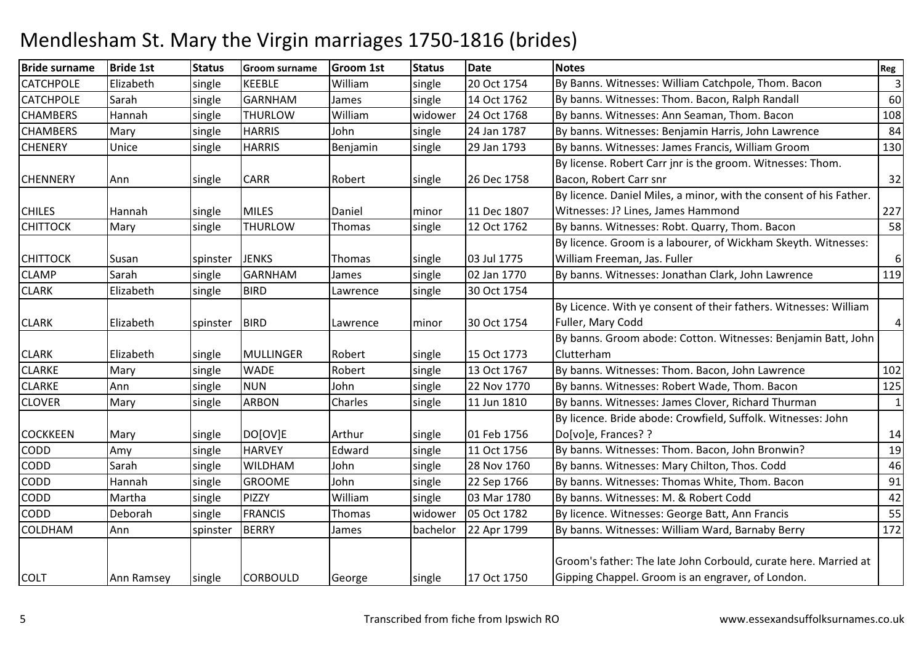| <b>Bride surname</b> | <b>Bride 1st</b> | <b>Status</b> | <b>Groom surname</b> | <b>Groom 1st</b> | <b>Status</b> | <b>Date</b> | <b>Notes</b>                                                       | Reg            |
|----------------------|------------------|---------------|----------------------|------------------|---------------|-------------|--------------------------------------------------------------------|----------------|
| <b>CATCHPOLE</b>     | Elizabeth        | single        | <b>KEEBLE</b>        | William          | single        | 20 Oct 1754 | By Banns. Witnesses: William Catchpole, Thom. Bacon                | $\overline{3}$ |
| <b>CATCHPOLE</b>     | Sarah            | single        | <b>GARNHAM</b>       | James            | single        | 14 Oct 1762 | By banns. Witnesses: Thom. Bacon, Ralph Randall                    | 60             |
| <b>CHAMBERS</b>      | Hannah           | single        | <b>THURLOW</b>       | William          | widower       | 24 Oct 1768 | By banns. Witnesses: Ann Seaman, Thom. Bacon                       | 108            |
| <b>CHAMBERS</b>      | Mary             | single        | <b>HARRIS</b>        | John             | single        | 24 Jan 1787 | By banns. Witnesses: Benjamin Harris, John Lawrence                | 84             |
| <b>CHENERY</b>       | Unice            | single        | <b>HARRIS</b>        | Benjamin         | single        | 29 Jan 1793 | By banns. Witnesses: James Francis, William Groom                  | 130            |
|                      |                  |               |                      |                  |               |             | By license. Robert Carr jnr is the groom. Witnesses: Thom.         |                |
| <b>CHENNERY</b>      | Ann              | single        | <b>CARR</b>          | Robert           | single        | 26 Dec 1758 | Bacon, Robert Carr snr                                             | 32             |
|                      |                  |               |                      |                  |               |             | By licence. Daniel Miles, a minor, with the consent of his Father. |                |
| <b>CHILES</b>        | Hannah           | single        | <b>MILES</b>         | Daniel           | minor         | 11 Dec 1807 | Witnesses: J? Lines, James Hammond                                 | 227            |
| <b>CHITTOCK</b>      | Mary             | single        | <b>THURLOW</b>       | Thomas           | single        | 12 Oct 1762 | By banns. Witnesses: Robt. Quarry, Thom. Bacon                     | 58             |
|                      |                  |               |                      |                  |               |             | By licence. Groom is a labourer, of Wickham Skeyth. Witnesses:     |                |
| <b>CHITTOCK</b>      | Susan            | spinster      | <b>JENKS</b>         | Thomas           | single        | 03 Jul 1775 | William Freeman, Jas. Fuller                                       | 6              |
| <b>CLAMP</b>         | Sarah            | single        | <b>GARNHAM</b>       | James            | single        | 02 Jan 1770 | By banns. Witnesses: Jonathan Clark, John Lawrence                 | 119            |
| <b>CLARK</b>         | Elizabeth        | single        | <b>BIRD</b>          | Lawrence         | single        | 30 Oct 1754 |                                                                    |                |
|                      |                  |               |                      |                  |               |             | By Licence. With ye consent of their fathers. Witnesses: William   |                |
| <b>CLARK</b>         | Elizabeth        | spinster      | <b>BIRD</b>          | Lawrence         | minor         | 30 Oct 1754 | Fuller, Mary Codd                                                  | 4              |
|                      |                  |               |                      |                  |               |             | By banns. Groom abode: Cotton. Witnesses: Benjamin Batt, John      |                |
| <b>CLARK</b>         | Elizabeth        | single        | <b>MULLINGER</b>     | Robert           | single        | 15 Oct 1773 | Clutterham                                                         |                |
| <b>CLARKE</b>        | Mary             | single        | <b>WADE</b>          | Robert           | single        | 13 Oct 1767 | By banns. Witnesses: Thom. Bacon, John Lawrence                    | 102            |
| <b>CLARKE</b>        | Ann              | single        | <b>NUN</b>           | John             | single        | 22 Nov 1770 | By banns. Witnesses: Robert Wade, Thom. Bacon                      | 125            |
| <b>CLOVER</b>        | Mary             | single        | <b>ARBON</b>         | Charles          | single        | 11 Jun 1810 | By banns. Witnesses: James Clover, Richard Thurman                 | $\mathbf{1}$   |
|                      |                  |               |                      |                  |               |             | By licence. Bride abode: Crowfield, Suffolk. Witnesses: John       |                |
| <b>COCKKEEN</b>      | Mary             | single        | DO[OV]E              | Arthur           | single        | 01 Feb 1756 | Do[vo]e, Frances? ?                                                | 14             |
| <b>CODD</b>          | Amy              | single        | <b>HARVEY</b>        | Edward           | single        | 11 Oct 1756 | By banns. Witnesses: Thom. Bacon, John Bronwin?                    | 19             |
| CODD                 | Sarah            | single        | <b>WILDHAM</b>       | John             | single        | 28 Nov 1760 | By banns. Witnesses: Mary Chilton, Thos. Codd                      | 46             |
| <b>CODD</b>          | Hannah           | single        | <b>GROOME</b>        | John             | single        | 22 Sep 1766 | By banns. Witnesses: Thomas White, Thom. Bacon                     | 91             |
| <b>CODD</b>          | Martha           | single        | <b>PIZZY</b>         | William          | single        | 03 Mar 1780 | By banns. Witnesses: M. & Robert Codd                              | 42             |
| <b>CODD</b>          | Deborah          | single        | <b>FRANCIS</b>       | Thomas           | widower       | 05 Oct 1782 | By licence. Witnesses: George Batt, Ann Francis                    | 55             |
| <b>COLDHAM</b>       | Ann              | spinster      | <b>BERRY</b>         | James            | bachelor      | 22 Apr 1799 | By banns. Witnesses: William Ward, Barnaby Berry                   | 172            |
|                      |                  |               |                      |                  |               |             |                                                                    |                |
|                      |                  |               |                      |                  |               |             | Groom's father: The late John Corbould, curate here. Married at    |                |
| <b>COLT</b>          | Ann Ramsey       | single        | <b>CORBOULD</b>      | George           | single        | 17 Oct 1750 | Gipping Chappel. Groom is an engraver, of London.                  |                |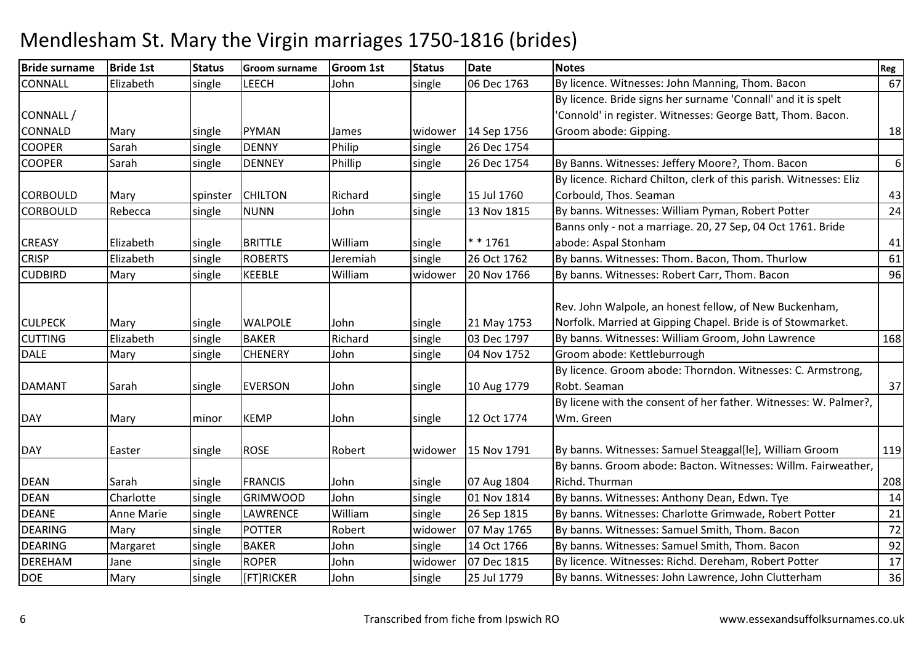| <b>Bride 1st</b> | <b>Status</b>                                                                                                               | <b>Groom surname</b>                                                                                                | <b>Groom 1st</b>                                                                                                                                                                                          | <b>Status</b>                                                                                          | <b>Date</b>                                                                                                             | <b>Notes</b>                                                                                                                                                                     | Reg                                                                                                                                                                                                                                                                                                                                                                                                                                                                                                                                                                                                                                                                                                                                                                                           |
|------------------|-----------------------------------------------------------------------------------------------------------------------------|---------------------------------------------------------------------------------------------------------------------|-----------------------------------------------------------------------------------------------------------------------------------------------------------------------------------------------------------|--------------------------------------------------------------------------------------------------------|-------------------------------------------------------------------------------------------------------------------------|----------------------------------------------------------------------------------------------------------------------------------------------------------------------------------|-----------------------------------------------------------------------------------------------------------------------------------------------------------------------------------------------------------------------------------------------------------------------------------------------------------------------------------------------------------------------------------------------------------------------------------------------------------------------------------------------------------------------------------------------------------------------------------------------------------------------------------------------------------------------------------------------------------------------------------------------------------------------------------------------|
| Elizabeth        | single                                                                                                                      | LEECH                                                                                                               | John                                                                                                                                                                                                      | single                                                                                                 | 06 Dec 1763                                                                                                             | By licence. Witnesses: John Manning, Thom. Bacon                                                                                                                                 | 67                                                                                                                                                                                                                                                                                                                                                                                                                                                                                                                                                                                                                                                                                                                                                                                            |
|                  |                                                                                                                             |                                                                                                                     |                                                                                                                                                                                                           |                                                                                                        |                                                                                                                         | By licence. Bride signs her surname 'Connall' and it is spelt                                                                                                                    |                                                                                                                                                                                                                                                                                                                                                                                                                                                                                                                                                                                                                                                                                                                                                                                               |
|                  |                                                                                                                             |                                                                                                                     |                                                                                                                                                                                                           |                                                                                                        |                                                                                                                         | 'Connold' in register. Witnesses: George Batt, Thom. Bacon.                                                                                                                      |                                                                                                                                                                                                                                                                                                                                                                                                                                                                                                                                                                                                                                                                                                                                                                                               |
| Mary             | single                                                                                                                      | <b>PYMAN</b>                                                                                                        | James                                                                                                                                                                                                     | widower                                                                                                | 14 Sep 1756                                                                                                             | Groom abode: Gipping.                                                                                                                                                            | 18                                                                                                                                                                                                                                                                                                                                                                                                                                                                                                                                                                                                                                                                                                                                                                                            |
| Sarah            | single                                                                                                                      | <b>DENNY</b>                                                                                                        | Philip                                                                                                                                                                                                    | single                                                                                                 | 26 Dec 1754                                                                                                             |                                                                                                                                                                                  |                                                                                                                                                                                                                                                                                                                                                                                                                                                                                                                                                                                                                                                                                                                                                                                               |
| Sarah            | single                                                                                                                      | <b>DENNEY</b>                                                                                                       | Phillip                                                                                                                                                                                                   | single                                                                                                 | 26 Dec 1754                                                                                                             | By Banns. Witnesses: Jeffery Moore?, Thom. Bacon                                                                                                                                 | 6                                                                                                                                                                                                                                                                                                                                                                                                                                                                                                                                                                                                                                                                                                                                                                                             |
|                  |                                                                                                                             |                                                                                                                     |                                                                                                                                                                                                           |                                                                                                        |                                                                                                                         | By licence. Richard Chilton, clerk of this parish. Witnesses: Eliz                                                                                                               |                                                                                                                                                                                                                                                                                                                                                                                                                                                                                                                                                                                                                                                                                                                                                                                               |
| Mary             | spinster                                                                                                                    | <b>CHILTON</b>                                                                                                      | Richard                                                                                                                                                                                                   | single                                                                                                 | 15 Jul 1760                                                                                                             | Corbould, Thos. Seaman                                                                                                                                                           | 43                                                                                                                                                                                                                                                                                                                                                                                                                                                                                                                                                                                                                                                                                                                                                                                            |
| Rebecca          | single                                                                                                                      | <b>NUNN</b>                                                                                                         | John                                                                                                                                                                                                      | single                                                                                                 | 13 Nov 1815                                                                                                             | By banns. Witnesses: William Pyman, Robert Potter                                                                                                                                | 24                                                                                                                                                                                                                                                                                                                                                                                                                                                                                                                                                                                                                                                                                                                                                                                            |
|                  |                                                                                                                             |                                                                                                                     |                                                                                                                                                                                                           |                                                                                                        |                                                                                                                         | Banns only - not a marriage. 20, 27 Sep, 04 Oct 1761. Bride                                                                                                                      |                                                                                                                                                                                                                                                                                                                                                                                                                                                                                                                                                                                                                                                                                                                                                                                               |
| Elizabeth        | single                                                                                                                      | <b>BRITTLE</b>                                                                                                      | William                                                                                                                                                                                                   | single                                                                                                 | $* * 1761$                                                                                                              | abode: Aspal Stonham                                                                                                                                                             | 41                                                                                                                                                                                                                                                                                                                                                                                                                                                                                                                                                                                                                                                                                                                                                                                            |
| Elizabeth        | single                                                                                                                      | <b>ROBERTS</b>                                                                                                      | Jeremiah                                                                                                                                                                                                  | single                                                                                                 | 26 Oct 1762                                                                                                             | By banns. Witnesses: Thom. Bacon, Thom. Thurlow                                                                                                                                  | 61                                                                                                                                                                                                                                                                                                                                                                                                                                                                                                                                                                                                                                                                                                                                                                                            |
| Mary             | single                                                                                                                      | <b>KEEBLE</b>                                                                                                       | William                                                                                                                                                                                                   | widower                                                                                                | 20 Nov 1766                                                                                                             | By banns. Witnesses: Robert Carr, Thom. Bacon                                                                                                                                    | 96                                                                                                                                                                                                                                                                                                                                                                                                                                                                                                                                                                                                                                                                                                                                                                                            |
|                  |                                                                                                                             |                                                                                                                     |                                                                                                                                                                                                           |                                                                                                        |                                                                                                                         |                                                                                                                                                                                  |                                                                                                                                                                                                                                                                                                                                                                                                                                                                                                                                                                                                                                                                                                                                                                                               |
|                  |                                                                                                                             |                                                                                                                     |                                                                                                                                                                                                           |                                                                                                        |                                                                                                                         |                                                                                                                                                                                  |                                                                                                                                                                                                                                                                                                                                                                                                                                                                                                                                                                                                                                                                                                                                                                                               |
|                  |                                                                                                                             |                                                                                                                     |                                                                                                                                                                                                           |                                                                                                        |                                                                                                                         |                                                                                                                                                                                  |                                                                                                                                                                                                                                                                                                                                                                                                                                                                                                                                                                                                                                                                                                                                                                                               |
|                  |                                                                                                                             |                                                                                                                     |                                                                                                                                                                                                           |                                                                                                        |                                                                                                                         |                                                                                                                                                                                  | 168                                                                                                                                                                                                                                                                                                                                                                                                                                                                                                                                                                                                                                                                                                                                                                                           |
|                  |                                                                                                                             |                                                                                                                     |                                                                                                                                                                                                           |                                                                                                        |                                                                                                                         |                                                                                                                                                                                  |                                                                                                                                                                                                                                                                                                                                                                                                                                                                                                                                                                                                                                                                                                                                                                                               |
|                  |                                                                                                                             |                                                                                                                     |                                                                                                                                                                                                           |                                                                                                        |                                                                                                                         |                                                                                                                                                                                  |                                                                                                                                                                                                                                                                                                                                                                                                                                                                                                                                                                                                                                                                                                                                                                                               |
|                  |                                                                                                                             |                                                                                                                     |                                                                                                                                                                                                           |                                                                                                        |                                                                                                                         |                                                                                                                                                                                  | 37                                                                                                                                                                                                                                                                                                                                                                                                                                                                                                                                                                                                                                                                                                                                                                                            |
|                  |                                                                                                                             |                                                                                                                     |                                                                                                                                                                                                           |                                                                                                        |                                                                                                                         |                                                                                                                                                                                  |                                                                                                                                                                                                                                                                                                                                                                                                                                                                                                                                                                                                                                                                                                                                                                                               |
|                  |                                                                                                                             |                                                                                                                     |                                                                                                                                                                                                           |                                                                                                        |                                                                                                                         |                                                                                                                                                                                  |                                                                                                                                                                                                                                                                                                                                                                                                                                                                                                                                                                                                                                                                                                                                                                                               |
|                  |                                                                                                                             |                                                                                                                     |                                                                                                                                                                                                           |                                                                                                        |                                                                                                                         |                                                                                                                                                                                  | 119                                                                                                                                                                                                                                                                                                                                                                                                                                                                                                                                                                                                                                                                                                                                                                                           |
|                  |                                                                                                                             |                                                                                                                     |                                                                                                                                                                                                           |                                                                                                        |                                                                                                                         |                                                                                                                                                                                  |                                                                                                                                                                                                                                                                                                                                                                                                                                                                                                                                                                                                                                                                                                                                                                                               |
|                  |                                                                                                                             |                                                                                                                     |                                                                                                                                                                                                           |                                                                                                        |                                                                                                                         |                                                                                                                                                                                  | 208                                                                                                                                                                                                                                                                                                                                                                                                                                                                                                                                                                                                                                                                                                                                                                                           |
|                  |                                                                                                                             |                                                                                                                     |                                                                                                                                                                                                           |                                                                                                        |                                                                                                                         |                                                                                                                                                                                  | 14                                                                                                                                                                                                                                                                                                                                                                                                                                                                                                                                                                                                                                                                                                                                                                                            |
|                  |                                                                                                                             |                                                                                                                     |                                                                                                                                                                                                           |                                                                                                        |                                                                                                                         |                                                                                                                                                                                  | 21                                                                                                                                                                                                                                                                                                                                                                                                                                                                                                                                                                                                                                                                                                                                                                                            |
|                  |                                                                                                                             |                                                                                                                     |                                                                                                                                                                                                           |                                                                                                        |                                                                                                                         |                                                                                                                                                                                  | 72                                                                                                                                                                                                                                                                                                                                                                                                                                                                                                                                                                                                                                                                                                                                                                                            |
|                  |                                                                                                                             |                                                                                                                     |                                                                                                                                                                                                           |                                                                                                        |                                                                                                                         |                                                                                                                                                                                  | 92                                                                                                                                                                                                                                                                                                                                                                                                                                                                                                                                                                                                                                                                                                                                                                                            |
|                  |                                                                                                                             |                                                                                                                     |                                                                                                                                                                                                           |                                                                                                        |                                                                                                                         |                                                                                                                                                                                  | 17                                                                                                                                                                                                                                                                                                                                                                                                                                                                                                                                                                                                                                                                                                                                                                                            |
| Mary             | single                                                                                                                      | [FT]RICKER                                                                                                          | John                                                                                                                                                                                                      | single                                                                                                 | 25 Jul 1779                                                                                                             | By banns. Witnesses: John Lawrence, John Clutterham                                                                                                                              | 36                                                                                                                                                                                                                                                                                                                                                                                                                                                                                                                                                                                                                                                                                                                                                                                            |
|                  | Mary<br>Elizabeth<br>Mary<br>Sarah<br>Mary<br>Easter<br>Sarah<br>Charlotte<br><b>Anne Marie</b><br>Mary<br>Margaret<br>Jane | single<br>single<br>single<br>single<br>minor<br>single<br>single<br>single<br>single<br>single<br>single<br>single | <b>WALPOLE</b><br><b>BAKER</b><br><b>CHENERY</b><br><b>EVERSON</b><br><b>KEMP</b><br><b>ROSE</b><br><b>FRANCIS</b><br><b>GRIMWOOD</b><br><b>LAWRENCE</b><br><b>POTTER</b><br><b>BAKER</b><br><b>ROPER</b> | John<br>Richard<br>John<br>John<br>John<br>Robert<br>John<br>John<br>William<br>Robert<br>John<br>John | single<br>single<br>single<br>single<br>single<br>widower<br>single<br>single<br>single<br>widower<br>single<br>widower | 21 May 1753<br>03 Dec 1797<br>04 Nov 1752<br>10 Aug 1779<br>12 Oct 1774<br>15 Nov 1791<br>07 Aug 1804<br>01 Nov 1814<br>26 Sep 1815<br>07 May 1765<br>14 Oct 1766<br>07 Dec 1815 | Rev. John Walpole, an honest fellow, of New Buckenham,<br>Norfolk. Married at Gipping Chapel. Bride is of Stowmarket.<br>By banns. Witnesses: William Groom, John Lawrence<br>Groom abode: Kettleburrough<br>By licence. Groom abode: Thorndon. Witnesses: C. Armstrong,<br>Robt. Seaman<br>By licene with the consent of her father. Witnesses: W. Palmer?,<br>Wm. Green<br>By banns. Witnesses: Samuel Steaggal[le], William Groom<br>By banns. Groom abode: Bacton. Witnesses: Willm. Fairweather,<br>Richd. Thurman<br>By banns. Witnesses: Anthony Dean, Edwn. Tye<br>By banns. Witnesses: Charlotte Grimwade, Robert Potter<br>By banns. Witnesses: Samuel Smith, Thom. Bacon<br>By banns. Witnesses: Samuel Smith, Thom. Bacon<br>By licence. Witnesses: Richd. Dereham, Robert Potter |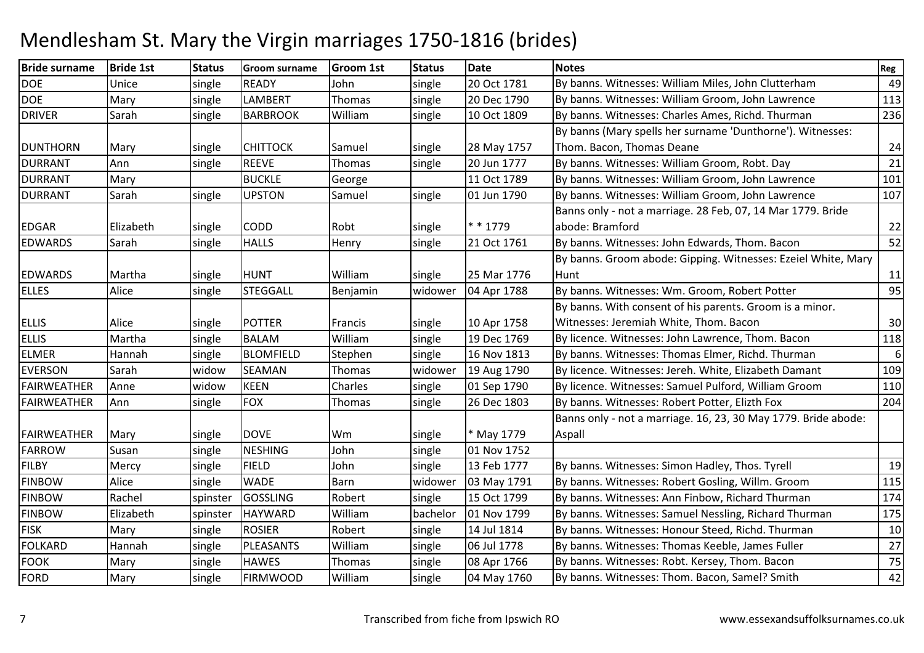| <b>Bride surname</b> | <b>Bride 1st</b> | <b>Status</b> | <b>Groom surname</b> | <b>Groom 1st</b> | <b>Status</b> | <b>Date</b> | <b>Notes</b>                                                   | Reg |
|----------------------|------------------|---------------|----------------------|------------------|---------------|-------------|----------------------------------------------------------------|-----|
| <b>DOE</b>           | Unice            | single        | <b>READY</b>         | John             | single        | 20 Oct 1781 | By banns. Witnesses: William Miles, John Clutterham            | 49  |
| <b>DOE</b>           | Mary             | single        | LAMBERT              | Thomas           | single        | 20 Dec 1790 | By banns. Witnesses: William Groom, John Lawrence              | 113 |
| <b>DRIVER</b>        | Sarah            | single        | <b>BARBROOK</b>      | William          | single        | 10 Oct 1809 | By banns. Witnesses: Charles Ames, Richd. Thurman              | 236 |
|                      |                  |               |                      |                  |               |             | By banns (Mary spells her surname 'Dunthorne'). Witnesses:     |     |
| <b>DUNTHORN</b>      | Mary             | single        | <b>CHITTOCK</b>      | Samuel           | single        | 28 May 1757 | Thom. Bacon, Thomas Deane                                      | 24  |
| <b>DURRANT</b>       | Ann              | single        | <b>REEVE</b>         | Thomas           | single        | 20 Jun 1777 | By banns. Witnesses: William Groom, Robt. Day                  | 21  |
| <b>DURRANT</b>       | Mary             |               | <b>BUCKLE</b>        | George           |               | 11 Oct 1789 | By banns. Witnesses: William Groom, John Lawrence              | 101 |
| <b>DURRANT</b>       | Sarah            | single        | <b>UPSTON</b>        | Samuel           | single        | 01 Jun 1790 | By banns. Witnesses: William Groom, John Lawrence              | 107 |
|                      |                  |               |                      |                  |               |             | Banns only - not a marriage. 28 Feb, 07, 14 Mar 1779. Bride    |     |
| <b>EDGAR</b>         | Elizabeth        | single        | <b>CODD</b>          | Robt             | single        | * * 1779    | abode: Bramford                                                | 22  |
| <b>EDWARDS</b>       | Sarah            | single        | <b>HALLS</b>         | Henry            | single        | 21 Oct 1761 | By banns. Witnesses: John Edwards, Thom. Bacon                 | 52  |
|                      |                  |               |                      |                  |               |             | By banns. Groom abode: Gipping. Witnesses: Ezeiel White, Mary  |     |
| <b>EDWARDS</b>       | Martha           | single        | <b>HUNT</b>          | William          | single        | 25 Mar 1776 | Hunt                                                           | 11  |
| <b>ELLES</b>         | Alice            | single        | <b>STEGGALL</b>      | Benjamin         | widower       | 04 Apr 1788 | By banns. Witnesses: Wm. Groom, Robert Potter                  | 95  |
|                      |                  |               |                      |                  |               |             | By banns. With consent of his parents. Groom is a minor.       |     |
| <b>ELLIS</b>         | Alice            | single        | <b>POTTER</b>        | Francis          | single        | 10 Apr 1758 | Witnesses: Jeremiah White, Thom. Bacon                         | 30  |
| <b>ELLIS</b>         | Martha           | single        | <b>BALAM</b>         | William          | single        | 19 Dec 1769 | By licence. Witnesses: John Lawrence, Thom. Bacon              | 118 |
| <b>ELMER</b>         | Hannah           | single        | <b>BLOMFIELD</b>     | Stephen          | single        | 16 Nov 1813 | By banns. Witnesses: Thomas Elmer, Richd. Thurman              | 6   |
| <b>EVERSON</b>       | Sarah            | widow         | <b>SEAMAN</b>        | Thomas           | widower       | 19 Aug 1790 | By licence. Witnesses: Jereh. White, Elizabeth Damant          | 109 |
| <b>FAIRWEATHER</b>   | Anne             | widow         | <b>KEEN</b>          | Charles          | single        | 01 Sep 1790 | By licence. Witnesses: Samuel Pulford, William Groom           | 110 |
| <b>FAIRWEATHER</b>   | Ann              | single        | <b>FOX</b>           | Thomas           | single        | 26 Dec 1803 | By banns. Witnesses: Robert Potter, Elizth Fox                 | 204 |
|                      |                  |               |                      |                  |               |             | Banns only - not a marriage. 16, 23, 30 May 1779. Bride abode: |     |
| <b>FAIRWEATHER</b>   | Mary             | single        | <b>DOVE</b>          | Wm               | single        | * May 1779  | Aspall                                                         |     |
| <b>FARROW</b>        | Susan            | single        | <b>NESHING</b>       | John             | single        | 01 Nov 1752 |                                                                |     |
| <b>FILBY</b>         | Mercy            | single        | <b>FIELD</b>         | John             | single        | 13 Feb 1777 | By banns. Witnesses: Simon Hadley, Thos. Tyrell                | 19  |
| <b>FINBOW</b>        | Alice            | single        | <b>WADE</b>          | Barn             | widower       | 03 May 1791 | By banns. Witnesses: Robert Gosling, Willm. Groom              | 115 |
| <b>FINBOW</b>        | Rachel           | spinster      | <b>GOSSLING</b>      | Robert           | single        | 15 Oct 1799 | By banns. Witnesses: Ann Finbow, Richard Thurman               | 174 |
| <b>FINBOW</b>        | Elizabeth        | spinster      | <b>HAYWARD</b>       | William          | bachelor      | 01 Nov 1799 | By banns. Witnesses: Samuel Nessling, Richard Thurman          | 175 |
| <b>FISK</b>          | Mary             | single        | <b>ROSIER</b>        | Robert           | single        | 14 Jul 1814 | By banns. Witnesses: Honour Steed, Richd. Thurman              | 10  |
| <b>FOLKARD</b>       | Hannah           | single        | <b>PLEASANTS</b>     | William          | single        | 06 Jul 1778 | By banns. Witnesses: Thomas Keeble, James Fuller               | 27  |
| <b>FOOK</b>          | Mary             | single        | <b>HAWES</b>         | Thomas           | single        | 08 Apr 1766 | By banns. Witnesses: Robt. Kersey, Thom. Bacon                 | 75  |
| <b>FORD</b>          | Mary             | single        | <b>FIRMWOOD</b>      | William          | single        | 04 May 1760 | By banns. Witnesses: Thom. Bacon, Samel? Smith                 | 42  |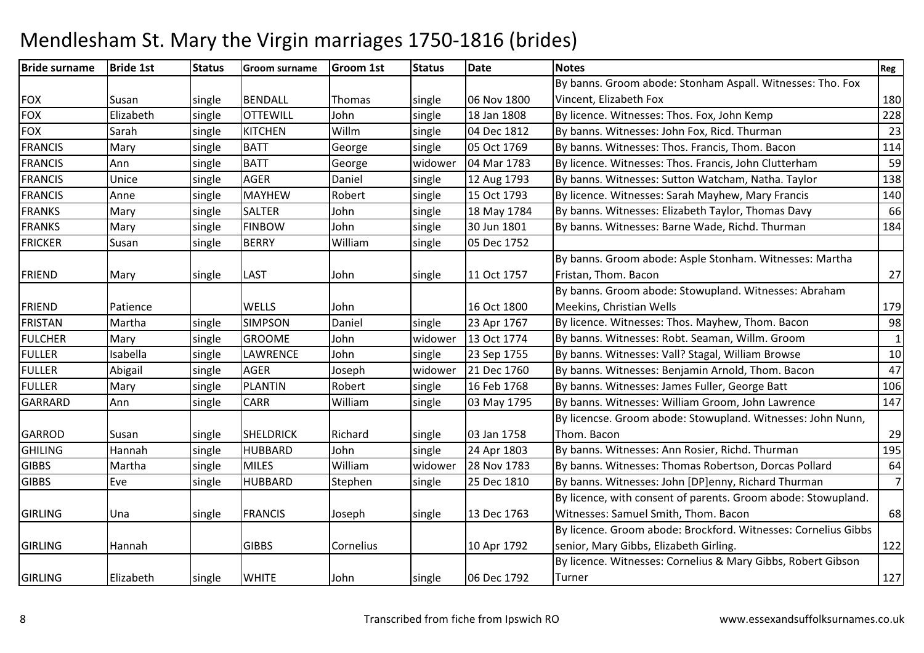#### Bride surnamee Bride 1st Status Groom surname Groom 1st Status Date Notes Notes Register Register Register Register Register FOX Susan single BENDALL Thomas single 06 Nov 180018 Jan 1808 By banns. Groom abode: Stonham Aspall. Witnesses: Tho. Fox Vincent, Elizabeth Foxx 180  $\overline{228}$ FOXElizabeth Single OTTEWILL John Single 18 Jan 1808 By licence. Witnesses: Thos. Fox, John Kemp 228<br>Sarah Single KITCHEN Willm single 04 Dec 1812 By banns. Witnesses: John Fox, Ricd. Thurman FOXSarah Single KITCHEN<br>Mary Single BATT Willm<br>George single 04 Dec 1812 By banns. Witnesses: John Fox, Ricd. Thurman 23<br>single 05 Oct 1769 By banns. Witnesses: Thos. Francis, Thom. Bacon 1114 FRANCISMary single 05 Oct 1769<br>04 Mar 1783 By banns. Witnesses: Thos. Francis, Thom. Bacon 114<br>By licence. Witnesses: Thos. Francis. John Clutterham FRANCIS Ann single BATT George widower 04 Mar 1783 By licence. Witnesses: Thos. Francis, John Clutterhamm 59 FRANCIS Unicesingle | AGER Daniel Single 12 Aug 1793 By banns. Witnesses: Sutton Watcham, Natha. Taylor 138<br>Robert single 15 Oct 1793 By licence. Witnesses: Sarah Mayhew. Mary Francis 140 FRANCIS Anne single MAYHEWRobert Single 15 Oct 1793 By licence. Witnesses: Sarah Mayhew, Mary Francis 140<br>John Single 18 May 1784 By banns. Witnesses: Elizabeth Taylor, Thomas Davy FRANKSMary single **SALTER** By banns. Witnesses: Elizabeth Taylor, Thomas Davy 66<br>By banns. Witnesses: Barne Wade. Richd. Thurman 184 FRANKSMary single FINBOW<br>BERRY John single 30 Jun 1801 By banns. Witnesses: Barne Wade, Richd. Thurman Villiam single 05 Dec 1752 FRICKERR Susan Single BERRY William 05 Dec 1752 FRIEND Mary single LAST John single 11 Oct 1757 By banns. Groom abode: Asple Stonham. Witnesses: Martha Fristan, Thom. Baconn 27 FRIEND Patience WELLS John 16 Oct 180023 Apr 1767 By banns. Groom abode: Stowupland. Witnesses: Abraham Meekins, Christian Wellss and the contract of the contract of the contract of the contract of the contract of the contract of the contract of the contract of the contract of the contract of the contract of the contract of the contract of the cont 98 FRISTANMartha Single SIMPSON Daniel single 23 Apr 1767 By licence. Witnesses: Thos. Mayhew, Thom. Bacon 198<br>Mary Single GROOME John widower 13 Oct 1774 By banns. Witnesses: Robt. Seaman, Willm. Groom 1 FULCHERGROOME John Widower 13 Oct 1774 By banns. Witnesses: Robt. Seaman, Willm. Groom<br>LAWRENCE John single 23 Sep 1755 By banns. Witnesses: Vall? Stagal. William Browse m  $\frac{1}{1}$ FULLERIsabella 1911 Single LAWRENCE JJohn 1988 Single 23 Sep 1755 By banns. Witnesses: Vall? Stagal, William Browse<br>Abigail 1915 Annele AGER Joseph Widower 21 Dec 1760 By banns. Witnesses: Benjamin Arnold, Thom. Bacon 1977 FULLERAbigail 1911 Single AGER 1958 | Joseph Widower 21 Dec 1760 By banns. Witnesses: Benjamin Arnold, Thom. Bacon 1<br>1968 Mary 1912 | Mary 1912 | Single 1988 | Hollands St. Joseph 1988 | By banns. Witnesses: James Fuller, George FULLERMary single PLANTIN Robert Single 16 Feb 1768 By banns. Witnesses: James Fuller, George Batt 106<br>
William Single 03 May 1795 By banns. Witnesses: William Groom, John Lawrence GARRARDD Ann single CARR William By banns. Witnesses: William Groom, John Lawrence GARROD Susan single SHELDRICK Richard single 03 Jan 175824 Apr 1803 By licencse. Groom abode: Stowupland. Witnesses: John Nunn, Thom. Baconn 29 195 GHILINGHannah 195 Single HUBBARD John 195 Single 24 Apr 1803 By banns. Witnesses: Ann Rosier, Richd. Thurman 195<br>195 Martha 195 Single MILES William Widower 28 Nov 1783 By banns. Witnesses: Thomas Robertson, Dorcas Pollard GIBBS Martha singleWilliam William Widower 28 Nov 1783 By banns. Witnesses: Thomas Robertson, Dorcas Pollard<br>Stephen single 25 Dec 1810 By banns. Witnesses: John [DP]enny, Richard Thurman **GIBBS**  Eve single HUBBARDBy banns. Witnesses: John [DP]enny, Richard Thurman 7GIRLING Una Single FRANCIS Joseph single 13 Dec 1763 By licence, with consent of parents. Groom abode: Stowupland. Witnesses: Samuel Smith, Thom. Baconn 68 GIRLING Hannah I GIBBS Cornelius 10 Apr 1792 By licence. Groom abode: Brockford. Witnesses: Cornelius Gibbs senior, Mary Gibbs, Elizabeth Girling.. 22 GIRLING Elizabeth single WHITE John single 06 Dec 1792By licence. Witnesses: Cornelius & Mary Gibbs, Robert Gibson **Turner** r 127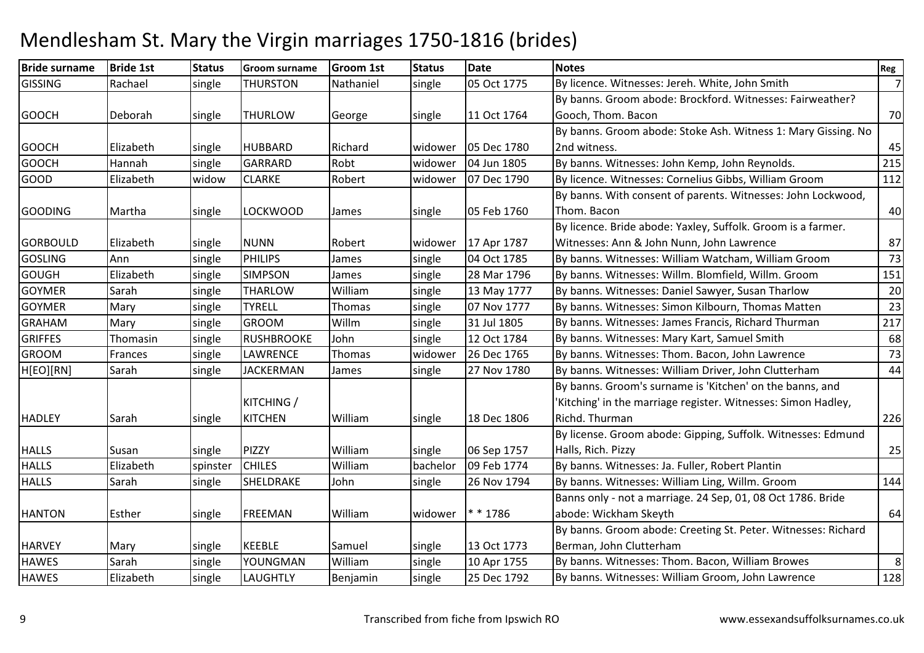| <b>Bride surname</b> | <b>Bride 1st</b> | <b>Status</b> | <b>Groom surname</b> | <b>Groom 1st</b> | <b>Status</b> | <b>Date</b> | <b>Notes</b>                                                  | Reg            |
|----------------------|------------------|---------------|----------------------|------------------|---------------|-------------|---------------------------------------------------------------|----------------|
| <b>GISSING</b>       | Rachael          | single        | <b>THURSTON</b>      | Nathaniel        | single        | 05 Oct 1775 | By licence. Witnesses: Jereh. White, John Smith               | $\overline{7}$ |
|                      |                  |               |                      |                  |               |             | By banns. Groom abode: Brockford. Witnesses: Fairweather?     |                |
| <b>GOOCH</b>         | Deborah          | single        | <b>THURLOW</b>       | George           | single        | 11 Oct 1764 | Gooch, Thom. Bacon                                            | 70             |
|                      |                  |               |                      |                  |               |             | By banns. Groom abode: Stoke Ash. Witness 1: Mary Gissing. No |                |
| <b>GOOCH</b>         | Elizabeth        | single        | <b>HUBBARD</b>       | Richard          | widower       | 05 Dec 1780 | 2nd witness.                                                  | 45             |
| <b>GOOCH</b>         | Hannah           | single        | <b>GARRARD</b>       | Robt             | widower       | 04 Jun 1805 | By banns. Witnesses: John Kemp, John Reynolds.                | 215            |
| <b>GOOD</b>          | Elizabeth        | widow         | <b>CLARKE</b>        | Robert           | widower       | 07 Dec 1790 | By licence. Witnesses: Cornelius Gibbs, William Groom         | 112            |
|                      |                  |               |                      |                  |               |             | By banns. With consent of parents. Witnesses: John Lockwood,  |                |
| <b>GOODING</b>       | Martha           | single        | <b>LOCKWOOD</b>      | James            | single        | 05 Feb 1760 | Thom. Bacon                                                   | 40             |
|                      |                  |               |                      |                  |               |             | By licence. Bride abode: Yaxley, Suffolk. Groom is a farmer.  |                |
| <b>GORBOULD</b>      | Elizabeth        | single        | <b>NUNN</b>          | Robert           | widower       | 17 Apr 1787 | Witnesses: Ann & John Nunn, John Lawrence                     | 87             |
| <b>GOSLING</b>       | Ann              | single        | <b>PHILIPS</b>       | James            | single        | 04 Oct 1785 | By banns. Witnesses: William Watcham, William Groom           | 73             |
| <b>GOUGH</b>         | Elizabeth        | single        | <b>SIMPSON</b>       | James            | single        | 28 Mar 1796 | By banns. Witnesses: Willm. Blomfield, Willm. Groom           | 151            |
| <b>GOYMER</b>        | Sarah            | single        | <b>THARLOW</b>       | William          | single        | 13 May 1777 | By banns. Witnesses: Daniel Sawyer, Susan Tharlow             | 20             |
| <b>GOYMER</b>        | Mary             | single        | <b>TYRELL</b>        | Thomas           | single        | 07 Nov 1777 | By banns. Witnesses: Simon Kilbourn, Thomas Matten            | 23             |
| <b>GRAHAM</b>        | Mary             | single        | <b>GROOM</b>         | Willm            | single        | 31 Jul 1805 | By banns. Witnesses: James Francis, Richard Thurman           | 217            |
| <b>GRIFFES</b>       | Thomasin         | single        | <b>RUSHBROOKE</b>    | John             | single        | 12 Oct 1784 | By banns. Witnesses: Mary Kart, Samuel Smith                  | 68             |
| <b>GROOM</b>         | Frances          | single        | <b>LAWRENCE</b>      | Thomas           | widower       | 26 Dec 1765 | By banns. Witnesses: Thom. Bacon, John Lawrence               | 73             |
| H[EO][RN]            | Sarah            | single        | <b>JACKERMAN</b>     | James            | single        | 27 Nov 1780 | By banns. Witnesses: William Driver, John Clutterham          | 44             |
|                      |                  |               |                      |                  |               |             | By banns. Groom's surname is 'Kitchen' on the banns, and      |                |
|                      |                  |               | <b>KITCHING /</b>    |                  |               |             | 'Kitching' in the marriage register. Witnesses: Simon Hadley, |                |
| <b>HADLEY</b>        | Sarah            | single        | <b>KITCHEN</b>       | William          | single        | 18 Dec 1806 | Richd. Thurman                                                | 226            |
|                      |                  |               |                      |                  |               |             | By license. Groom abode: Gipping, Suffolk. Witnesses: Edmund  |                |
| <b>HALLS</b>         | Susan            | single        | PIZZY                | William          | single        | 06 Sep 1757 | Halls, Rich. Pizzy                                            | 25             |
| <b>HALLS</b>         | Elizabeth        | spinster      | <b>CHILES</b>        | William          | bachelor      | 09 Feb 1774 | By banns. Witnesses: Ja. Fuller, Robert Plantin               |                |
| <b>HALLS</b>         | Sarah            | single        | SHELDRAKE            | John             | single        | 26 Nov 1794 | By banns. Witnesses: William Ling, Willm. Groom               | 144            |
|                      |                  |               |                      |                  |               |             | Banns only - not a marriage. 24 Sep, 01, 08 Oct 1786. Bride   |                |
| <b>HANTON</b>        | Esther           | single        | <b>FREEMAN</b>       | William          | widower       | $* * 1786$  | abode: Wickham Skeyth                                         | 64             |
|                      |                  |               |                      |                  |               |             | By banns. Groom abode: Creeting St. Peter. Witnesses: Richard |                |
| <b>HARVEY</b>        | Mary             | single        | <b>KEEBLE</b>        | Samuel           | single        | 13 Oct 1773 | Berman, John Clutterham                                       |                |
| <b>HAWES</b>         | Sarah            | single        | YOUNGMAN             | William          | single        | 10 Apr 1755 | By banns. Witnesses: Thom. Bacon, William Browes              | 8              |
| <b>HAWES</b>         | Elizabeth        | single        | <b>LAUGHTLY</b>      | Benjamin         | single        | 25 Dec 1792 | By banns. Witnesses: William Groom, John Lawrence             | 128            |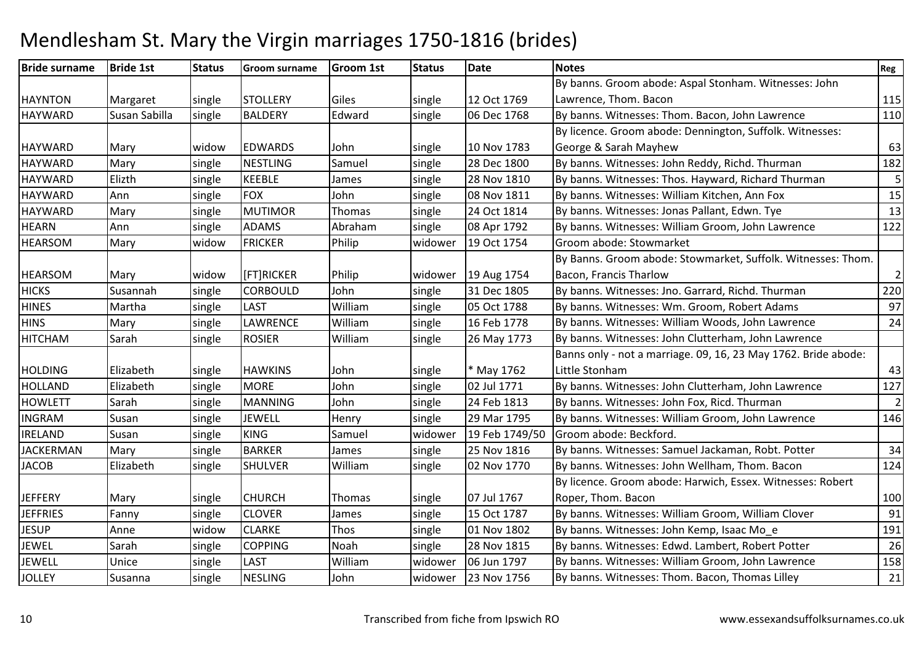| <b>Bride surname</b> | <b>Bride 1st</b> | <b>Status</b> | <b>Groom surname</b> | <b>Groom 1st</b> | <b>Status</b> | <b>Date</b>    | <b>Notes</b>                                                   | Reg            |
|----------------------|------------------|---------------|----------------------|------------------|---------------|----------------|----------------------------------------------------------------|----------------|
|                      |                  |               |                      |                  |               |                | By banns. Groom abode: Aspal Stonham. Witnesses: John          |                |
| <b>HAYNTON</b>       | Margaret         | single        | <b>STOLLERY</b>      | Giles            | single        | 12 Oct 1769    | Lawrence, Thom. Bacon                                          | 115            |
| <b>HAYWARD</b>       | Susan Sabilla    | single        | <b>BALDERY</b>       | Edward           | single        | 06 Dec 1768    | By banns. Witnesses: Thom. Bacon, John Lawrence                | 110            |
|                      |                  |               |                      |                  |               |                | By licence. Groom abode: Dennington, Suffolk. Witnesses:       |                |
| <b>HAYWARD</b>       | Mary             | widow         | <b>EDWARDS</b>       | John             | single        | 10 Nov 1783    | George & Sarah Mayhew                                          | 63             |
| <b>HAYWARD</b>       | Mary             | single        | <b>NESTLING</b>      | Samuel           | single        | 28 Dec 1800    | By banns. Witnesses: John Reddy, Richd. Thurman                | 182            |
| <b>HAYWARD</b>       | Elizth           | single        | <b>KEEBLE</b>        | James            | single        | 28 Nov 1810    | By banns. Witnesses: Thos. Hayward, Richard Thurman            | 5              |
| <b>HAYWARD</b>       | Ann              | single        | <b>FOX</b>           | John             | single        | 08 Nov 1811    | By banns. Witnesses: William Kitchen, Ann Fox                  | 15             |
| <b>HAYWARD</b>       | Mary             | single        | <b>MUTIMOR</b>       | Thomas           | single        | 24 Oct 1814    | By banns. Witnesses: Jonas Pallant, Edwn. Tye                  | 13             |
| <b>HEARN</b>         | Ann              | single        | <b>ADAMS</b>         | Abraham          | single        | 08 Apr 1792    | By banns. Witnesses: William Groom, John Lawrence              | 122            |
| <b>HEARSOM</b>       | Mary             | widow         | <b>FRICKER</b>       | Philip           | widower       | 19 Oct 1754    | Groom abode: Stowmarket                                        |                |
|                      |                  |               |                      |                  |               |                | By Banns. Groom abode: Stowmarket, Suffolk. Witnesses: Thom.   |                |
| <b>HEARSOM</b>       | Mary             | widow         | [FT]RICKER           | Philip           | widower       | 19 Aug 1754    | Bacon, Francis Tharlow                                         | $\overline{c}$ |
| <b>HICKS</b>         | Susannah         | single        | <b>CORBOULD</b>      | John             | single        | 31 Dec 1805    | By banns. Witnesses: Jno. Garrard, Richd. Thurman              | 220            |
| <b>HINES</b>         | Martha           | single        | <b>LAST</b>          | William          | single        | 05 Oct 1788    | By banns. Witnesses: Wm. Groom, Robert Adams                   | 97             |
| <b>HINS</b>          | Mary             | single        | LAWRENCE             | William          | single        | 16 Feb 1778    | By banns. Witnesses: William Woods, John Lawrence              | 24             |
| <b>HITCHAM</b>       | Sarah            | single        | <b>ROSIER</b>        | William          | single        | 26 May 1773    | By banns. Witnesses: John Clutterham, John Lawrence            |                |
|                      |                  |               |                      |                  |               |                | Banns only - not a marriage. 09, 16, 23 May 1762. Bride abode: |                |
| <b>HOLDING</b>       | Elizabeth        | single        | <b>HAWKINS</b>       | John             | single        | * May 1762     | Little Stonham                                                 | 43             |
| <b>HOLLAND</b>       | Elizabeth        | single        | <b>MORE</b>          | John             | single        | 02 Jul 1771    | By banns. Witnesses: John Clutterham, John Lawrence            | 127            |
| <b>HOWLETT</b>       | Sarah            | single        | <b>MANNING</b>       | John             | single        | 24 Feb 1813    | By banns. Witnesses: John Fox, Ricd. Thurman                   | $\overline{2}$ |
| <b>INGRAM</b>        | Susan            | single        | <b>JEWELL</b>        | Henry            | single        | 29 Mar 1795    | By banns. Witnesses: William Groom, John Lawrence              | 146            |
| <b>IRELAND</b>       | Susan            | single        | <b>KING</b>          | Samuel           | widower       | 19 Feb 1749/50 | Groom abode: Beckford.                                         |                |
| <b>JACKERMAN</b>     | Mary             | single        | <b>BARKER</b>        | James            | single        | 25 Nov 1816    | By banns. Witnesses: Samuel Jackaman, Robt. Potter             | 34             |
| <b>JACOB</b>         | Elizabeth        | single        | <b>SHULVER</b>       | William          | single        | 02 Nov 1770    | By banns. Witnesses: John Wellham, Thom. Bacon                 | 124            |
|                      |                  |               |                      |                  |               |                | By licence. Groom abode: Harwich, Essex. Witnesses: Robert     |                |
| <b>JEFFERY</b>       | Mary             | single        | <b>CHURCH</b>        | Thomas           | single        | 07 Jul 1767    | Roper, Thom. Bacon                                             | 100            |
| <b>JEFFRIES</b>      | Fanny            | single        | <b>CLOVER</b>        | James            | single        | 15 Oct 1787    | By banns. Witnesses: William Groom, William Clover             | 91             |
| <b>JESUP</b>         | Anne             | widow         | <b>CLARKE</b>        | Thos             | single        | 01 Nov 1802    | By banns. Witnesses: John Kemp, Isaac Mo_e                     | 191            |
| <b>JEWEL</b>         | Sarah            | single        | <b>COPPING</b>       | Noah             | single        | 28 Nov 1815    | By banns. Witnesses: Edwd. Lambert, Robert Potter              | 26             |
| <b>JEWELL</b>        | Unice            | single        | <b>LAST</b>          | William          | widower       | 06 Jun 1797    | By banns. Witnesses: William Groom, John Lawrence              | 158            |
| <b>JOLLEY</b>        | Susanna          | single        | <b>NESLING</b>       | John             | widower       | 23 Nov 1756    | By banns. Witnesses: Thom. Bacon, Thomas Lilley                | 21             |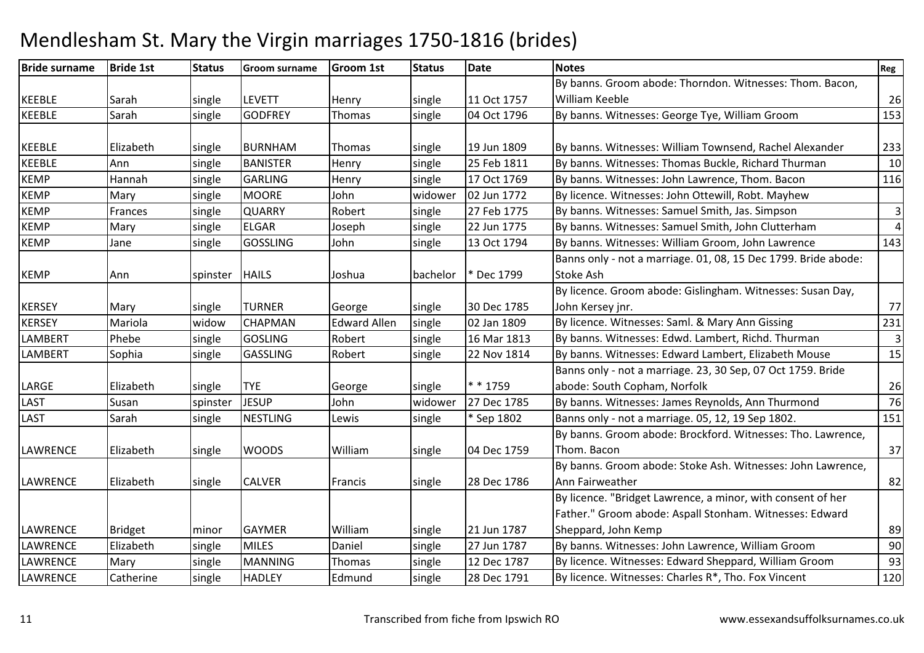| <b>Bride surname</b> | <b>Bride 1st</b> | <b>Status</b> | <b>Groom surname</b> | <b>Groom 1st</b>    | <b>Status</b> | <b>Date</b> | <b>Notes</b>                                                   | Reg            |
|----------------------|------------------|---------------|----------------------|---------------------|---------------|-------------|----------------------------------------------------------------|----------------|
|                      |                  |               |                      |                     |               |             | By banns. Groom abode: Thorndon. Witnesses: Thom. Bacon,       |                |
| <b>KEEBLE</b>        | Sarah            | single        | <b>LEVETT</b>        | Henry               | single        | 11 Oct 1757 | William Keeble                                                 | 26             |
| <b>KEEBLE</b>        | Sarah            | single        | <b>GODFREY</b>       | Thomas              | single        | 04 Oct 1796 | By banns. Witnesses: George Tye, William Groom                 | 153            |
|                      |                  |               |                      |                     |               |             |                                                                |                |
| <b>KEEBLE</b>        | Elizabeth        | single        | <b>BURNHAM</b>       | Thomas              | single        | 19 Jun 1809 | By banns. Witnesses: William Townsend, Rachel Alexander        | 233            |
| KEEBLE               | Ann              | single        | <b>BANISTER</b>      | Henry               | single        | 25 Feb 1811 | By banns. Witnesses: Thomas Buckle, Richard Thurman            | 10             |
| <b>KEMP</b>          | Hannah           | single        | <b>GARLING</b>       | Henry               | single        | 17 Oct 1769 | By banns. Witnesses: John Lawrence, Thom. Bacon                | 116            |
| <b>KEMP</b>          | Mary             | single        | <b>MOORE</b>         | John                | widower       | 02 Jun 1772 | By licence. Witnesses: John Ottewill, Robt. Mayhew             |                |
| <b>KEMP</b>          | Frances          | single        | <b>QUARRY</b>        | Robert              | single        | 27 Feb 1775 | By banns. Witnesses: Samuel Smith, Jas. Simpson                | $\mathbf{3}$   |
| <b>KEMP</b>          | Mary             | single        | <b>ELGAR</b>         | Joseph              | single        | 22 Jun 1775 | By banns. Witnesses: Samuel Smith, John Clutterham             | $\overline{4}$ |
| <b>KEMP</b>          | Jane             | single        | <b>GOSSLING</b>      | John                | single        | 13 Oct 1794 | By banns. Witnesses: William Groom, John Lawrence              | 143            |
|                      |                  |               |                      |                     |               |             | Banns only - not a marriage. 01, 08, 15 Dec 1799. Bride abode: |                |
| <b>KEMP</b>          | Ann              | spinster      | <b>HAILS</b>         | Joshua              | bachelor      | * Dec 1799  | Stoke Ash                                                      |                |
|                      |                  |               |                      |                     |               |             | By licence. Groom abode: Gislingham. Witnesses: Susan Day,     |                |
| <b>KERSEY</b>        | Mary             | single        | <b>TURNER</b>        | George              | single        | 30 Dec 1785 | John Kersey jnr.                                               | 77             |
| <b>KERSEY</b>        | Mariola          | widow         | <b>CHAPMAN</b>       | <b>Edward Allen</b> | single        | 02 Jan 1809 | By licence. Witnesses: Saml. & Mary Ann Gissing                | 231            |
| <b>LAMBERT</b>       | Phebe            | single        | <b>GOSLING</b>       | Robert              | single        | 16 Mar 1813 | By banns. Witnesses: Edwd. Lambert, Richd. Thurman             | $\overline{3}$ |
| <b>LAMBERT</b>       | Sophia           | single        | <b>GASSLING</b>      | Robert              | single        | 22 Nov 1814 | By banns. Witnesses: Edward Lambert, Elizabeth Mouse           | 15             |
|                      |                  |               |                      |                     |               |             | Banns only - not a marriage. 23, 30 Sep, 07 Oct 1759. Bride    |                |
| LARGE                | Elizabeth        | single        | <b>TYE</b>           | George              | single        | * * 1759    | abode: South Copham, Norfolk                                   | 26             |
| LAST                 | Susan            | spinster      | <b>JESUP</b>         | John                | widower       | 27 Dec 1785 | By banns. Witnesses: James Reynolds, Ann Thurmond              | 76             |
| LAST                 | Sarah            | single        | <b>NESTLING</b>      | Lewis               | single        | * Sep 1802  | Banns only - not a marriage. 05, 12, 19 Sep 1802.              | 151            |
|                      |                  |               |                      |                     |               |             | By banns. Groom abode: Brockford. Witnesses: Tho. Lawrence,    |                |
| <b>LAWRENCE</b>      | Elizabeth        | single        | <b>WOODS</b>         | William             | single        | 04 Dec 1759 | Thom. Bacon                                                    | 37             |
|                      |                  |               |                      |                     |               |             | By banns. Groom abode: Stoke Ash. Witnesses: John Lawrence,    |                |
| <b>LAWRENCE</b>      | Elizabeth        | single        | <b>CALVER</b>        | Francis             | single        | 28 Dec 1786 | Ann Fairweather                                                | 82             |
|                      |                  |               |                      |                     |               |             | By licence. "Bridget Lawrence, a minor, with consent of her    |                |
|                      |                  |               |                      |                     |               |             | Father." Groom abode: Aspall Stonham. Witnesses: Edward        |                |
| <b>LAWRENCE</b>      | <b>Bridget</b>   | minor         | <b>GAYMER</b>        | William             | single        | 21 Jun 1787 | Sheppard, John Kemp                                            | 89             |
| <b>LAWRENCE</b>      | Elizabeth        | single        | <b>MILES</b>         | Daniel              | single        | 27 Jun 1787 | By banns. Witnesses: John Lawrence, William Groom              | 90             |
| LAWRENCE             | Mary             | single        | <b>MANNING</b>       | <b>Thomas</b>       | single        | 12 Dec 1787 | By licence. Witnesses: Edward Sheppard, William Groom          | 93             |
| <b>LAWRENCE</b>      | Catherine        | single        | <b>HADLEY</b>        | Edmund              | single        | 28 Dec 1791 | By licence. Witnesses: Charles R*, Tho. Fox Vincent            | 120            |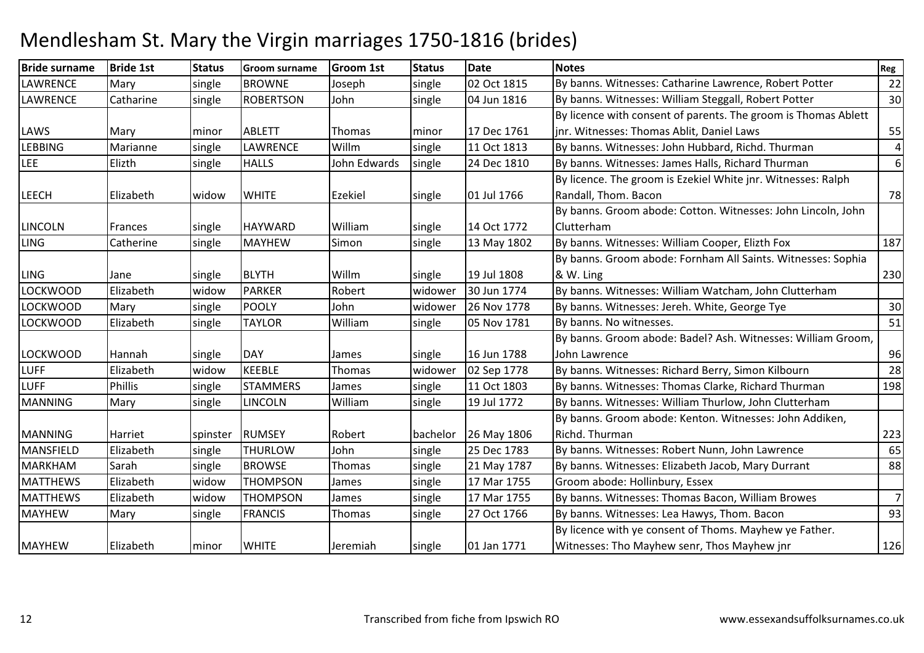| <b>Bride surname</b> | <b>Bride 1st</b> | <b>Status</b> | <b>Groom surname</b> | <b>Groom 1st</b> | <b>Status</b> | <b>Date</b> | <b>Notes</b>                                                   | Reg            |
|----------------------|------------------|---------------|----------------------|------------------|---------------|-------------|----------------------------------------------------------------|----------------|
| <b>LAWRENCE</b>      | Mary             | single        | <b>BROWNE</b>        | Joseph           | single        | 02 Oct 1815 | By banns. Witnesses: Catharine Lawrence, Robert Potter         | 22             |
| <b>LAWRENCE</b>      | Catharine        | single        | <b>ROBERTSON</b>     | John             | single        | 04 Jun 1816 | By banns. Witnesses: William Steggall, Robert Potter           | 30             |
|                      |                  |               |                      |                  |               |             | By licence with consent of parents. The groom is Thomas Ablett |                |
| LAWS                 | Mary             | minor         | <b>ABLETT</b>        | Thomas           | minor         | 17 Dec 1761 | inr. Witnesses: Thomas Ablit, Daniel Laws                      | 55             |
| <b>LEBBING</b>       | Marianne         | single        | <b>LAWRENCE</b>      | Willm            | single        | 11 Oct 1813 | By banns. Witnesses: John Hubbard, Richd. Thurman              | 4              |
| LEE                  | Elizth           | single        | <b>HALLS</b>         | John Edwards     | single        | 24 Dec 1810 | By banns. Witnesses: James Halls, Richard Thurman              | 6              |
|                      |                  |               |                      |                  |               |             | By licence. The groom is Ezekiel White jnr. Witnesses: Ralph   |                |
| <b>LEECH</b>         | Elizabeth        | widow         | <b>WHITE</b>         | Ezekiel          | single        | 01 Jul 1766 | Randall, Thom. Bacon                                           | 78             |
|                      |                  |               |                      |                  |               |             | By banns. Groom abode: Cotton. Witnesses: John Lincoln, John   |                |
| <b>LINCOLN</b>       | <b>Frances</b>   | single        | <b>HAYWARD</b>       | William          | single        | 14 Oct 1772 | Clutterham                                                     |                |
| <b>LING</b>          | Catherine        | single        | <b>MAYHEW</b>        | Simon            | single        | 13 May 1802 | By banns. Witnesses: William Cooper, Elizth Fox                | 187            |
|                      |                  |               |                      |                  |               |             | By banns. Groom abode: Fornham All Saints. Witnesses: Sophia   |                |
| <b>LING</b>          | Jane             | single        | <b>BLYTH</b>         | Willm            | single        | 19 Jul 1808 | & W. Ling                                                      | 230            |
| LOCKWOOD             | Elizabeth        | widow         | <b>PARKER</b>        | Robert           | widower       | 30 Jun 1774 | By banns. Witnesses: William Watcham, John Clutterham          |                |
| <b>LOCKWOOD</b>      | Mary             | single        | <b>POOLY</b>         | John             | widower       | 26 Nov 1778 | By banns. Witnesses: Jereh. White, George Tye                  | 30             |
| LOCKWOOD             | Elizabeth        | single        | <b>TAYLOR</b>        | William          | single        | 05 Nov 1781 | By banns. No witnesses.                                        | 51             |
|                      |                  |               |                      |                  |               |             | By banns. Groom abode: Badel? Ash. Witnesses: William Groom,   |                |
| <b>LOCKWOOD</b>      | Hannah           | single        | <b>DAY</b>           | James            | single        | 16 Jun 1788 | John Lawrence                                                  | 96             |
| <b>LUFF</b>          | Elizabeth        | widow         | <b>KEEBLE</b>        | Thomas           | widower       | 02 Sep 1778 | By banns. Witnesses: Richard Berry, Simon Kilbourn             | 28             |
| <b>LUFF</b>          | <b>Phillis</b>   | single        | <b>STAMMERS</b>      | James            | single        | 11 Oct 1803 | By banns. Witnesses: Thomas Clarke, Richard Thurman            | 198            |
| <b>MANNING</b>       | Mary             | single        | <b>LINCOLN</b>       | William          | single        | 19 Jul 1772 | By banns. Witnesses: William Thurlow, John Clutterham          |                |
|                      |                  |               |                      |                  |               |             | By banns. Groom abode: Kenton. Witnesses: John Addiken,        |                |
| <b>MANNING</b>       | Harriet          | spinster      | <b>RUMSEY</b>        | Robert           | bachelor      | 26 May 1806 | Richd. Thurman                                                 | 223            |
| <b>MANSFIELD</b>     | Elizabeth        | single        | <b>THURLOW</b>       | John             | single        | 25 Dec 1783 | By banns. Witnesses: Robert Nunn, John Lawrence                | 65             |
| <b>MARKHAM</b>       | Sarah            | single        | <b>BROWSE</b>        | Thomas           | single        | 21 May 1787 | By banns. Witnesses: Elizabeth Jacob, Mary Durrant             | 88             |
| <b>MATTHEWS</b>      | Elizabeth        | widow         | <b>THOMPSON</b>      | James            | single        | 17 Mar 1755 | Groom abode: Hollinbury, Essex                                 |                |
| <b>MATTHEWS</b>      | Elizabeth        | widow         | <b>THOMPSON</b>      | James            | single        | 17 Mar 1755 | By banns. Witnesses: Thomas Bacon, William Browes              | $\overline{7}$ |
| <b>MAYHEW</b>        | Mary             | single        | <b>FRANCIS</b>       | Thomas           | single        | 27 Oct 1766 | By banns. Witnesses: Lea Hawys, Thom. Bacon                    | 93             |
|                      |                  |               |                      |                  |               |             | By licence with ye consent of Thoms. Mayhew ye Father.         |                |
| <b>MAYHEW</b>        | Elizabeth        | minor         | <b>WHITE</b>         | Jeremiah         | single        | 01 Jan 1771 | Witnesses: Tho Mayhew senr, Thos Mayhew jnr                    | 126            |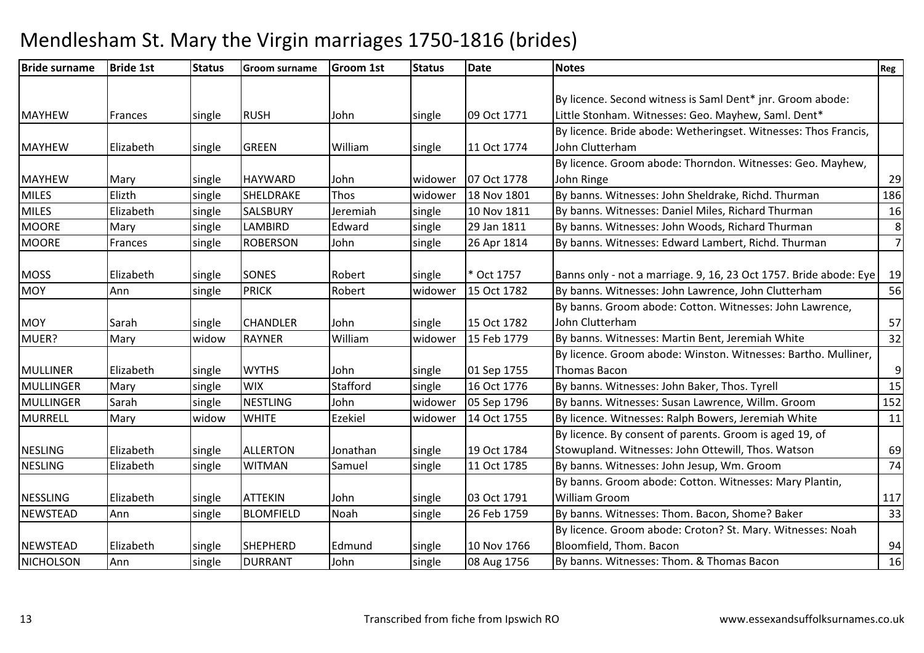| <b>Bride surname</b> | <b>Bride 1st</b> | <b>Status</b> | <b>Groom surname</b> | <b>Groom 1st</b> | <b>Status</b> | <b>Date</b> | <b>Notes</b>                                                      | Reg              |
|----------------------|------------------|---------------|----------------------|------------------|---------------|-------------|-------------------------------------------------------------------|------------------|
|                      |                  |               |                      |                  |               |             |                                                                   |                  |
|                      |                  |               |                      |                  |               |             | By licence. Second witness is Saml Dent* jnr. Groom abode:        |                  |
| <b>MAYHEW</b>        | <b>Frances</b>   | single        | <b>RUSH</b>          | John             | single        | 09 Oct 1771 | Little Stonham. Witnesses: Geo. Mayhew, Saml. Dent*               |                  |
|                      |                  |               |                      |                  |               |             | By licence. Bride abode: Wetheringset. Witnesses: Thos Francis,   |                  |
| <b>MAYHEW</b>        | Elizabeth        | single        | <b>GREEN</b>         | William          | single        | 11 Oct 1774 | John Clutterham                                                   |                  |
|                      |                  |               |                      |                  |               |             | By licence. Groom abode: Thorndon. Witnesses: Geo. Mayhew,        |                  |
| <b>MAYHEW</b>        | Mary             | single        | <b>HAYWARD</b>       | John             | widower       | 07 Oct 1778 | John Ringe                                                        | 29               |
| <b>MILES</b>         | Elizth           | single        | SHELDRAKE            | Thos             | widower       | 18 Nov 1801 | By banns. Witnesses: John Sheldrake, Richd. Thurman               | 186              |
| <b>MILES</b>         | Elizabeth        | single        | <b>SALSBURY</b>      | Jeremiah         | single        | 10 Nov 1811 | By banns. Witnesses: Daniel Miles, Richard Thurman                | 16               |
| <b>MOORE</b>         | Mary             | single        | LAMBIRD              | Edward           | single        | 29 Jan 1811 | By banns. Witnesses: John Woods, Richard Thurman                  | 8                |
| <b>MOORE</b>         | Frances          | single        | <b>ROBERSON</b>      | John             | single        | 26 Apr 1814 | By banns. Witnesses: Edward Lambert, Richd. Thurman               | $\overline{7}$   |
|                      |                  |               |                      |                  |               |             |                                                                   |                  |
| <b>MOSS</b>          | Elizabeth        | single        | <b>SONES</b>         | Robert           | single        | * Oct 1757  | Banns only - not a marriage. 9, 16, 23 Oct 1757. Bride abode: Eye | 19               |
| <b>MOY</b>           | Ann              | single        | <b>PRICK</b>         | Robert           | widower       | 15 Oct 1782 | By banns. Witnesses: John Lawrence, John Clutterham               | 56               |
|                      |                  |               |                      |                  |               |             | By banns. Groom abode: Cotton. Witnesses: John Lawrence,          |                  |
| <b>MOY</b>           | Sarah            | single        | <b>CHANDLER</b>      | John             | single        | 15 Oct 1782 | John Clutterham                                                   | 57               |
| MUER?                | Mary             | widow         | <b>RAYNER</b>        | William          | widower       | 15 Feb 1779 | By banns. Witnesses: Martin Bent, Jeremiah White                  | 32               |
|                      |                  |               |                      |                  |               |             | By licence. Groom abode: Winston. Witnesses: Bartho. Mulliner,    |                  |
| <b>MULLINER</b>      | Elizabeth        | single        | <b>WYTHS</b>         | John             | single        | 01 Sep 1755 | Thomas Bacon                                                      | $\boldsymbol{9}$ |
| MULLINGER            | Mary             | single        | <b>WIX</b>           | Stafford         | single        | 16 Oct 1776 | By banns. Witnesses: John Baker, Thos. Tyrell                     | 15               |
| <b>MULLINGER</b>     | Sarah            | single        | <b>NESTLING</b>      | John             | widower       | 05 Sep 1796 | By banns. Witnesses: Susan Lawrence, Willm. Groom                 | 152              |
| <b>MURRELL</b>       | Mary             | <b>widow</b>  | <b>WHITE</b>         | <b>Ezekiel</b>   | widower       | 14 Oct 1755 | By licence. Witnesses: Ralph Bowers, Jeremiah White               | 11               |
|                      |                  |               |                      |                  |               |             | By licence. By consent of parents. Groom is aged 19, of           |                  |
| <b>NESLING</b>       | Elizabeth        | single        | <b>ALLERTON</b>      | Jonathan         | single        | 19 Oct 1784 | Stowupland. Witnesses: John Ottewill, Thos. Watson                | 69               |
| <b>NESLING</b>       | Elizabeth        | single        | <b>WITMAN</b>        | Samuel           | single        | 11 Oct 1785 | By banns. Witnesses: John Jesup, Wm. Groom                        | 74               |
|                      |                  |               |                      |                  |               |             | By banns. Groom abode: Cotton. Witnesses: Mary Plantin,           |                  |
| <b>NESSLING</b>      | Elizabeth        | single        | <b>ATTEKIN</b>       | John             | single        | 03 Oct 1791 | <b>William Groom</b>                                              | 117              |
| <b>NEWSTEAD</b>      | Ann              | single        | <b>BLOMFIELD</b>     | Noah             | single        | 26 Feb 1759 | By banns. Witnesses: Thom. Bacon, Shome? Baker                    | 33               |
|                      |                  |               |                      |                  |               |             | By licence. Groom abode: Croton? St. Mary. Witnesses: Noah        |                  |
| <b>NEWSTEAD</b>      | Elizabeth        | single        | SHEPHERD             | Edmund           | single        | 10 Nov 1766 | Bloomfield, Thom. Bacon                                           | 94               |
| <b>NICHOLSON</b>     | Ann              | single        | <b>DURRANT</b>       | John             | single        | 08 Aug 1756 | By banns. Witnesses: Thom. & Thomas Bacon                         | 16               |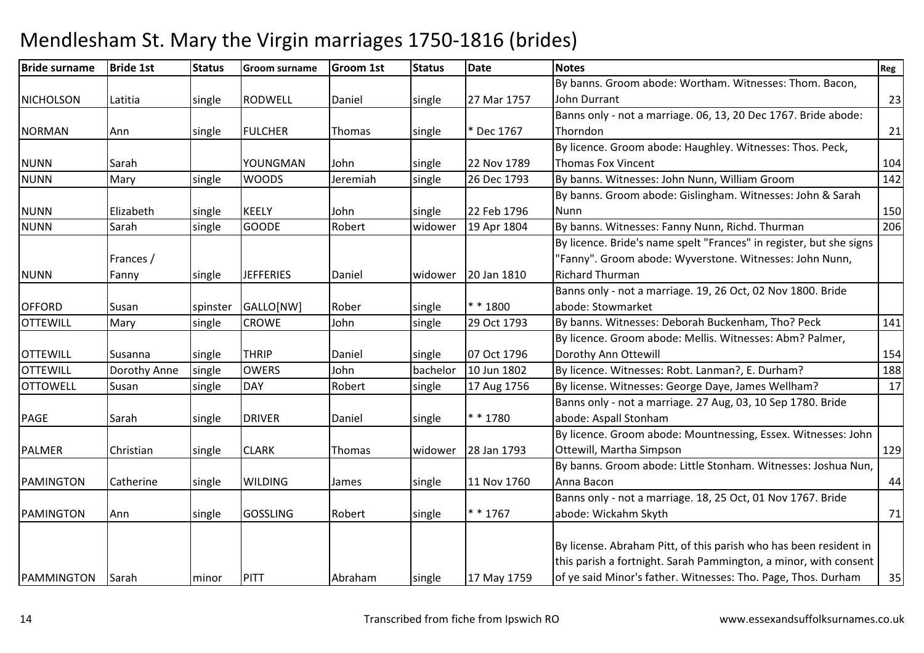| <b>Bride surname</b> | <b>Bride 1st</b> | <b>Status</b> | <b>Groom surname</b> | <b>Groom 1st</b> | <b>Status</b> | <b>Date</b> | <b>Notes</b>                                                        | Reg |
|----------------------|------------------|---------------|----------------------|------------------|---------------|-------------|---------------------------------------------------------------------|-----|
|                      |                  |               |                      |                  |               |             | By banns. Groom abode: Wortham. Witnesses: Thom. Bacon,             |     |
| <b>NICHOLSON</b>     | Latitia          | single        | <b>RODWELL</b>       | Daniel           | single        | 27 Mar 1757 | John Durrant                                                        | 23  |
|                      |                  |               |                      |                  |               |             | Banns only - not a marriage. 06, 13, 20 Dec 1767. Bride abode:      |     |
| <b>NORMAN</b>        | Ann              | single        | <b>FULCHER</b>       | Thomas           | single        | * Dec 1767  | Thorndon                                                            | 21  |
|                      |                  |               |                      |                  |               |             | By licence. Groom abode: Haughley. Witnesses: Thos. Peck,           |     |
| <b>NUNN</b>          | Sarah            |               | YOUNGMAN             | John             | single        | 22 Nov 1789 | <b>Thomas Fox Vincent</b>                                           | 104 |
| <b>NUNN</b>          | Mary             | single        | <b>WOODS</b>         | Jeremiah         | single        | 26 Dec 1793 | By banns. Witnesses: John Nunn, William Groom                       | 142 |
|                      |                  |               |                      |                  |               |             | By banns. Groom abode: Gislingham. Witnesses: John & Sarah          |     |
| <b>NUNN</b>          | Elizabeth        | single        | <b>KEELY</b>         | John             | single        | 22 Feb 1796 | Nunn                                                                | 150 |
| <b>NUNN</b>          | Sarah            | single        | <b>GOODE</b>         | Robert           | widower       | 19 Apr 1804 | By banns. Witnesses: Fanny Nunn, Richd. Thurman                     | 206 |
|                      |                  |               |                      |                  |               |             | By licence. Bride's name spelt "Frances" in register, but she signs |     |
|                      | Frances /        |               |                      |                  |               |             | "Fanny". Groom abode: Wyverstone. Witnesses: John Nunn,             |     |
| <b>NUNN</b>          | Fanny            | single        | <b>JEFFERIES</b>     | Daniel           | widower       | 20 Jan 1810 | <b>Richard Thurman</b>                                              |     |
|                      |                  |               |                      |                  |               |             | Banns only - not a marriage. 19, 26 Oct, 02 Nov 1800. Bride         |     |
| <b>OFFORD</b>        | Susan            | spinster      | GALLO[NW]            | Rober            | single        | $* * 1800$  | abode: Stowmarket                                                   |     |
| <b>OTTEWILL</b>      | Mary             | single        | <b>CROWE</b>         | John             | single        | 29 Oct 1793 | By banns. Witnesses: Deborah Buckenham, Tho? Peck                   | 141 |
|                      |                  |               |                      |                  |               |             | By licence. Groom abode: Mellis. Witnesses: Abm? Palmer,            |     |
| <b>OTTEWILL</b>      | Susanna          | single        | <b>THRIP</b>         | Daniel           | single        | 07 Oct 1796 | Dorothy Ann Ottewill                                                | 154 |
| <b>OTTEWILL</b>      | Dorothy Anne     | single        | <b>OWERS</b>         | John             | bachelor      | 10 Jun 1802 | By licence. Witnesses: Robt. Lanman?, E. Durham?                    | 188 |
| <b>OTTOWELL</b>      | Susan            | single        | <b>DAY</b>           | Robert           | single        | 17 Aug 1756 | By license. Witnesses: George Daye, James Wellham?                  | 17  |
|                      |                  |               |                      |                  |               |             | Banns only - not a marriage. 27 Aug, 03, 10 Sep 1780. Bride         |     |
| PAGE                 | Sarah            | single        | <b>DRIVER</b>        | Daniel           | single        | $* * 1780$  | abode: Aspall Stonham                                               |     |
|                      |                  |               |                      |                  |               |             | By licence. Groom abode: Mountnessing, Essex. Witnesses: John       |     |
| <b>PALMER</b>        | Christian        | single        | <b>CLARK</b>         | Thomas           | widower       | 28 Jan 1793 | Ottewill, Martha Simpson                                            | 129 |
|                      |                  |               |                      |                  |               |             | By banns. Groom abode: Little Stonham. Witnesses: Joshua Nun,       |     |
| <b>PAMINGTON</b>     | Catherine        | single        | <b>WILDING</b>       | James            | single        | 11 Nov 1760 | Anna Bacon                                                          | 44  |
|                      |                  |               |                      |                  |               |             | Banns only - not a marriage. 18, 25 Oct, 01 Nov 1767. Bride         |     |
| <b>PAMINGTON</b>     | Ann              | single        | <b>GOSSLING</b>      | Robert           | single        | $* * 1767$  | abode: Wickahm Skyth                                                | 71  |
|                      |                  |               |                      |                  |               |             |                                                                     |     |
|                      |                  |               |                      |                  |               |             | By license. Abraham Pitt, of this parish who has been resident in   |     |
|                      |                  |               |                      |                  |               |             | this parish a fortnight. Sarah Pammington, a minor, with consent    |     |
| PAMMINGTON           | Sarah            | minor         | PITT                 | Abraham          | single        | 17 May 1759 | of ye said Minor's father. Witnesses: Tho. Page, Thos. Durham       | 35  |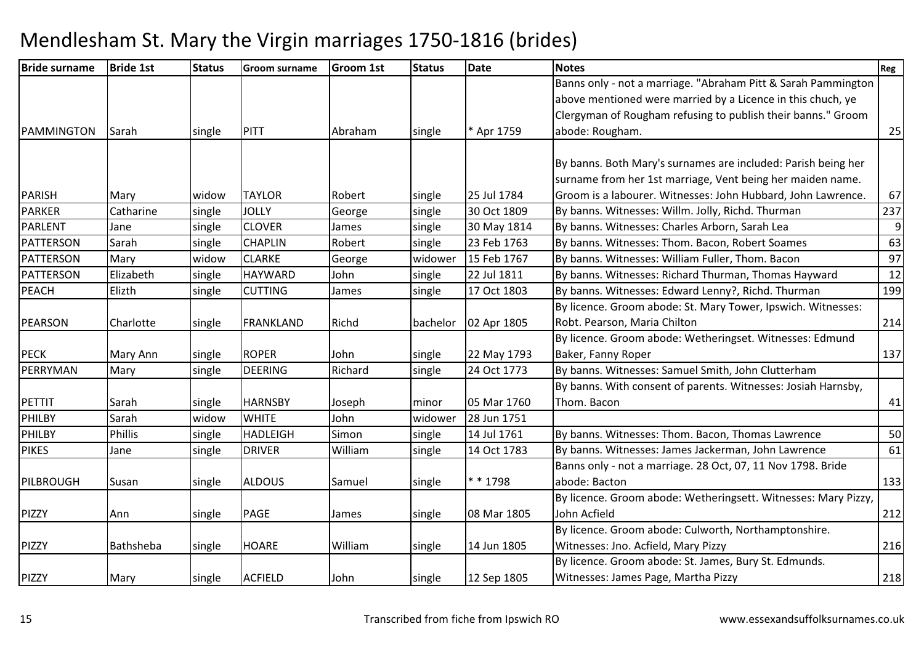| <b>Bride surname</b> | <b>Bride 1st</b> | <b>Status</b> | <b>Groom surname</b> | <b>Groom 1st</b> | <b>Status</b> | <b>Date</b> | <b>Notes</b>                                                   | Reg |
|----------------------|------------------|---------------|----------------------|------------------|---------------|-------------|----------------------------------------------------------------|-----|
|                      |                  |               |                      |                  |               |             | Banns only - not a marriage. "Abraham Pitt & Sarah Pammington  |     |
|                      |                  |               |                      |                  |               |             | above mentioned were married by a Licence in this chuch, ye    |     |
|                      |                  |               |                      |                  |               |             | Clergyman of Rougham refusing to publish their banns." Groom   |     |
| PAMMINGTON           | Sarah            | single        | <b>PITT</b>          | Abraham          | single        | * Apr 1759  | abode: Rougham.                                                | 25  |
|                      |                  |               |                      |                  |               |             |                                                                |     |
|                      |                  |               |                      |                  |               |             | By banns. Both Mary's surnames are included: Parish being her  |     |
|                      |                  |               |                      |                  |               |             | surname from her 1st marriage, Vent being her maiden name.     |     |
| <b>PARISH</b>        | Mary             | widow         | <b>TAYLOR</b>        | Robert           | single        | 25 Jul 1784 | Groom is a labourer. Witnesses: John Hubbard, John Lawrence.   | 67  |
| <b>PARKER</b>        | Catharine        | single        | <b>JOLLY</b>         | George           | single        | 30 Oct 1809 | By banns. Witnesses: Willm. Jolly, Richd. Thurman              | 237 |
| <b>PARLENT</b>       | Jane             | single        | <b>CLOVER</b>        | James            | single        | 30 May 1814 | By banns. Witnesses: Charles Arborn, Sarah Lea                 | 9   |
| <b>PATTERSON</b>     | Sarah            | single        | <b>CHAPLIN</b>       | Robert           | single        | 23 Feb 1763 | By banns. Witnesses: Thom. Bacon, Robert Soames                | 63  |
| PATTERSON            | Mary             | widow         | <b>CLARKE</b>        | George           | widower       | 15 Feb 1767 | By banns. Witnesses: William Fuller, Thom. Bacon               | 97  |
| <b>PATTERSON</b>     | Elizabeth        | single        | <b>HAYWARD</b>       | John             | single        | 22 Jul 1811 | By banns. Witnesses: Richard Thurman, Thomas Hayward           | 12  |
| <b>PEACH</b>         | Elizth           | single        | <b>CUTTING</b>       | James            | single        | 17 Oct 1803 | By banns. Witnesses: Edward Lenny?, Richd. Thurman             | 199 |
|                      |                  |               |                      |                  |               |             | By licence. Groom abode: St. Mary Tower, Ipswich. Witnesses:   |     |
| <b>PEARSON</b>       | Charlotte        | single        | <b>FRANKLAND</b>     | Richd            | bachelor      | 02 Apr 1805 | Robt. Pearson, Maria Chilton                                   | 214 |
|                      |                  |               |                      |                  |               |             | By licence. Groom abode: Wetheringset. Witnesses: Edmund       |     |
| <b>PECK</b>          | Mary Ann         | single        | <b>ROPER</b>         | John             | single        | 22 May 1793 | Baker, Fanny Roper                                             | 137 |
| PERRYMAN             | Mary             | single        | <b>DEERING</b>       | Richard          | single        | 24 Oct 1773 | By banns. Witnesses: Samuel Smith, John Clutterham             |     |
|                      |                  |               |                      |                  |               |             | By banns. With consent of parents. Witnesses: Josiah Harnsby,  |     |
| <b>PETTIT</b>        | Sarah            | single        | <b>HARNSBY</b>       | Joseph           | minor         | 05 Mar 1760 | Thom. Bacon                                                    | 41  |
| PHILBY               | Sarah            | widow         | <b>WHITE</b>         | John             | widower       | 28 Jun 1751 |                                                                |     |
| PHILBY               | <b>Phillis</b>   | single        | <b>HADLEIGH</b>      | Simon            | single        | 14 Jul 1761 | By banns. Witnesses: Thom. Bacon, Thomas Lawrence              | 50  |
| <b>PIKES</b>         | Jane             | single        | <b>DRIVER</b>        | William          | single        | 14 Oct 1783 | By banns. Witnesses: James Jackerman, John Lawrence            | 61  |
|                      |                  |               |                      |                  |               |             | Banns only - not a marriage. 28 Oct, 07, 11 Nov 1798. Bride    |     |
| PILBROUGH            | Susan            | single        | <b>ALDOUS</b>        | Samuel           | single        | * * 1798    | abode: Bacton                                                  | 133 |
|                      |                  |               |                      |                  |               |             | By licence. Groom abode: Wetheringsett. Witnesses: Mary Pizzy, |     |
| <b>PIZZY</b>         | Ann              | single        | <b>PAGE</b>          | James            | single        | 08 Mar 1805 | John Acfield                                                   | 212 |
|                      |                  |               |                      |                  |               |             | By licence. Groom abode: Culworth, Northamptonshire.           |     |
| <b>PIZZY</b>         | Bathsheba        | single        | <b>HOARE</b>         | William          | single        | 14 Jun 1805 | Witnesses: Jno. Acfield, Mary Pizzy                            | 216 |
|                      |                  |               |                      |                  |               |             | By licence. Groom abode: St. James, Bury St. Edmunds.          |     |
| PIZZY                | Mary             | single        | <b>ACFIELD</b>       | John             | single        | 12 Sep 1805 | Witnesses: James Page, Martha Pizzy                            | 218 |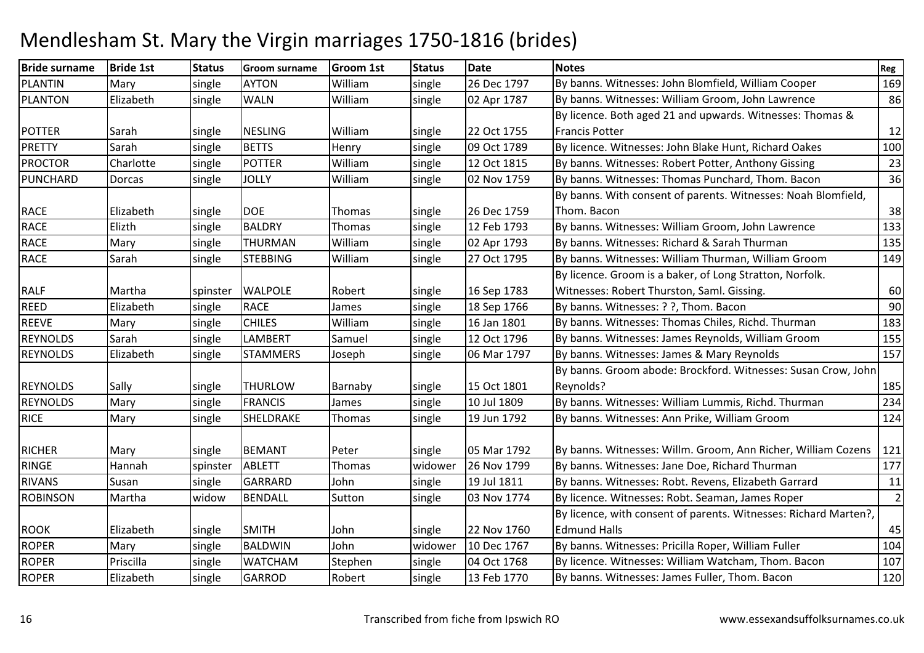| <b>Bride surname</b> | <b>Bride 1st</b> | <b>Status</b> | <b>Groom surname</b> | <b>Groom 1st</b> | <b>Status</b> | <b>Date</b> | <b>Notes</b>                                                     | Reg            |
|----------------------|------------------|---------------|----------------------|------------------|---------------|-------------|------------------------------------------------------------------|----------------|
| <b>PLANTIN</b>       | Mary             | single        | <b>AYTON</b>         | William          | single        | 26 Dec 1797 | By banns. Witnesses: John Blomfield, William Cooper              | 169            |
| PLANTON              | Elizabeth        | single        | <b>WALN</b>          | William          | single        | 02 Apr 1787 | By banns. Witnesses: William Groom, John Lawrence                | 86             |
|                      |                  |               |                      |                  |               |             | By licence. Both aged 21 and upwards. Witnesses: Thomas &        |                |
| <b>POTTER</b>        | Sarah            | single        | <b>NESLING</b>       | William          | single        | 22 Oct 1755 | <b>Francis Potter</b>                                            | 12             |
| <b>PRETTY</b>        | Sarah            | single        | <b>BETTS</b>         | Henry            | single        | 09 Oct 1789 | By licence. Witnesses: John Blake Hunt, Richard Oakes            | 100            |
| <b>PROCTOR</b>       | Charlotte        | single        | <b>POTTER</b>        | William          | single        | 12 Oct 1815 | By banns. Witnesses: Robert Potter, Anthony Gissing              | 23             |
| PUNCHARD             | Dorcas           | single        | <b>JOLLY</b>         | William          | single        | 02 Nov 1759 | By banns. Witnesses: Thomas Punchard, Thom. Bacon                | 36             |
|                      |                  |               |                      |                  |               |             | By banns. With consent of parents. Witnesses: Noah Blomfield,    |                |
| <b>RACE</b>          | Elizabeth        | single        | <b>DOE</b>           | Thomas           | single        | 26 Dec 1759 | Thom. Bacon                                                      | 38             |
| <b>RACE</b>          | Elizth           | single        | <b>BALDRY</b>        | <b>Thomas</b>    | single        | 12 Feb 1793 | By banns. Witnesses: William Groom, John Lawrence                | 133            |
| <b>RACE</b>          | Mary             | single        | <b>THURMAN</b>       | William          | single        | 02 Apr 1793 | By banns. Witnesses: Richard & Sarah Thurman                     | 135            |
| <b>RACE</b>          | Sarah            | single        | <b>STEBBING</b>      | William          | single        | 27 Oct 1795 | By banns. Witnesses: William Thurman, William Groom              | 149            |
|                      |                  |               |                      |                  |               |             | By licence. Groom is a baker, of Long Stratton, Norfolk.         |                |
| <b>RALF</b>          | Martha           | spinster      | <b>WALPOLE</b>       | Robert           | single        | 16 Sep 1783 | Witnesses: Robert Thurston, Saml. Gissing.                       | 60             |
| <b>REED</b>          | Elizabeth        | single        | <b>RACE</b>          | James            | single        | 18 Sep 1766 | By banns. Witnesses: ? ?, Thom. Bacon                            | 90             |
| <b>REEVE</b>         | Mary             | single        | <b>CHILES</b>        | William          | single        | 16 Jan 1801 | By banns. Witnesses: Thomas Chiles, Richd. Thurman               | 183            |
| <b>REYNOLDS</b>      | Sarah            | single        | <b>LAMBERT</b>       | Samuel           | single        | 12 Oct 1796 | By banns. Witnesses: James Reynolds, William Groom               | 155            |
| <b>REYNOLDS</b>      | Elizabeth        | single        | <b>STAMMERS</b>      | Joseph           | single        | 06 Mar 1797 | By banns. Witnesses: James & Mary Reynolds                       | 157            |
|                      |                  |               |                      |                  |               |             | By banns. Groom abode: Brockford. Witnesses: Susan Crow, John    |                |
| <b>REYNOLDS</b>      | Sally            | single        | <b>THURLOW</b>       | Barnaby          | single        | 15 Oct 1801 | Reynolds?                                                        | 185            |
| <b>REYNOLDS</b>      | Mary             | single        | <b>FRANCIS</b>       | James            | single        | 10 Jul 1809 | By banns. Witnesses: William Lummis, Richd. Thurman              | 234            |
| <b>RICE</b>          | Mary             | single        | SHELDRAKE            | Thomas           | single        | 19 Jun 1792 | By banns. Witnesses: Ann Prike, William Groom                    | 124            |
|                      |                  |               |                      |                  |               |             |                                                                  |                |
| <b>RICHER</b>        | Mary             | single        | <b>BEMANT</b>        | Peter            | single        | 05 Mar 1792 | By banns. Witnesses: Willm. Groom, Ann Richer, William Cozens    | 121            |
| <b>RINGE</b>         | Hannah           | spinster      | <b>ABLETT</b>        | Thomas           | widower       | 26 Nov 1799 | By banns. Witnesses: Jane Doe, Richard Thurman                   | 177            |
| <b>RIVANS</b>        | Susan            | single        | GARRARD              | John             | single        | 19 Jul 1811 | By banns. Witnesses: Robt. Revens, Elizabeth Garrard             | 11             |
| <b>ROBINSON</b>      | Martha           | widow         | <b>BENDALL</b>       | Sutton           | single        | 03 Nov 1774 | By licence. Witnesses: Robt. Seaman, James Roper                 | $\overline{2}$ |
|                      |                  |               |                      |                  |               |             | By licence, with consent of parents. Witnesses: Richard Marten?, |                |
| <b>ROOK</b>          | Elizabeth        | single        | <b>SMITH</b>         | John             | single        | 22 Nov 1760 | <b>Edmund Halls</b>                                              | 45             |
| <b>ROPER</b>         | Mary             | single        | <b>BALDWIN</b>       | John             | widower       | 10 Dec 1767 | By banns. Witnesses: Pricilla Roper, William Fuller              | 104            |
| ROPER                | Priscilla        | single        | <b>WATCHAM</b>       | Stephen          | single        | 04 Oct 1768 | By licence. Witnesses: William Watcham, Thom. Bacon              | 107            |
| <b>ROPER</b>         | Elizabeth        | single        | <b>GARROD</b>        | Robert           | single        | 13 Feb 1770 | By banns. Witnesses: James Fuller, Thom. Bacon                   | 120            |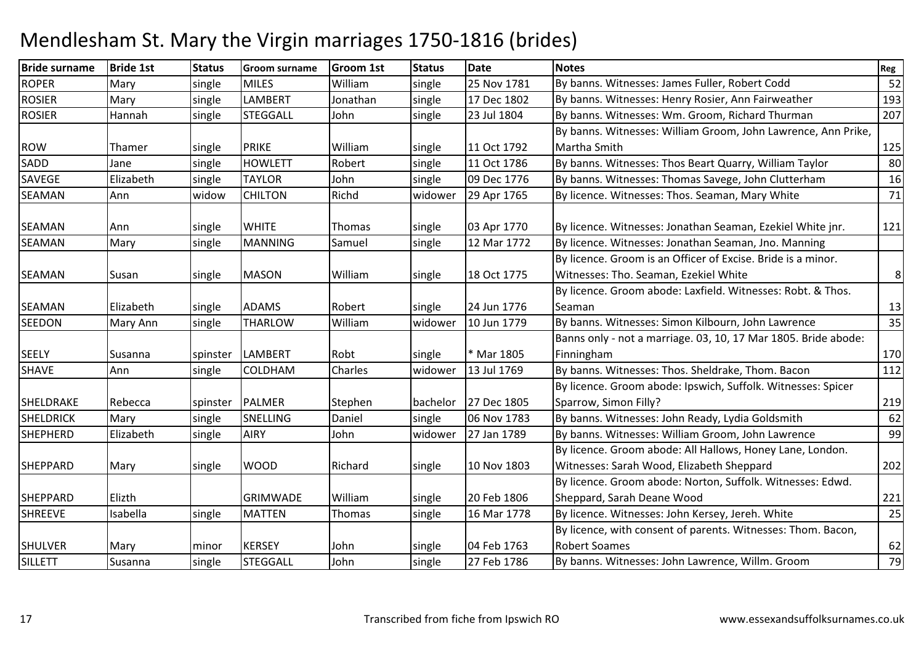| <b>Bride surname</b> | <b>Bride 1st</b> | <b>Status</b> | <b>Groom surname</b> | <b>Groom 1st</b> | <b>Status</b> | <b>Date</b> | <b>Notes</b>                                                   | Reg |
|----------------------|------------------|---------------|----------------------|------------------|---------------|-------------|----------------------------------------------------------------|-----|
| <b>ROPER</b>         | Mary             | single        | <b>MILES</b>         | William          | single        | 25 Nov 1781 | By banns. Witnesses: James Fuller, Robert Codd                 | 52  |
| <b>ROSIER</b>        | Mary             | single        | <b>LAMBERT</b>       | Jonathan         | single        | 17 Dec 1802 | By banns. Witnesses: Henry Rosier, Ann Fairweather             | 193 |
| <b>ROSIER</b>        | Hannah           | single        | <b>STEGGALL</b>      | John             | single        | 23 Jul 1804 | By banns. Witnesses: Wm. Groom, Richard Thurman                | 207 |
|                      |                  |               |                      |                  |               |             | By banns. Witnesses: William Groom, John Lawrence, Ann Prike,  |     |
| <b>ROW</b>           | Thamer           | single        | <b>PRIKE</b>         | William          | single        | 11 Oct 1792 | Martha Smith                                                   | 125 |
| SADD                 | Jane             | single        | <b>HOWLETT</b>       | Robert           | single        | 11 Oct 1786 | By banns. Witnesses: Thos Beart Quarry, William Taylor         | 80  |
| SAVEGE               | Elizabeth        | single        | <b>TAYLOR</b>        | John             | single        | 09 Dec 1776 | By banns. Witnesses: Thomas Savege, John Clutterham            | 16  |
| <b>SEAMAN</b>        | Ann              | widow         | <b>CHILTON</b>       | Richd            | widower       | 29 Apr 1765 | By licence. Witnesses: Thos. Seaman, Mary White                | 71  |
| <b>SEAMAN</b>        | Ann              | single        | <b>WHITE</b>         | Thomas           | single        | 03 Apr 1770 | By licence. Witnesses: Jonathan Seaman, Ezekiel White jnr.     | 121 |
| <b>SEAMAN</b>        | Mary             | single        | <b>MANNING</b>       | Samuel           | single        | 12 Mar 1772 | By licence. Witnesses: Jonathan Seaman, Jno. Manning           |     |
|                      |                  |               |                      |                  |               |             | By licence. Groom is an Officer of Excise. Bride is a minor.   |     |
| <b>SEAMAN</b>        | Susan            | single        | <b>MASON</b>         | William          | single        | 18 Oct 1775 | Witnesses: Tho. Seaman, Ezekiel White                          | 8   |
|                      |                  |               |                      |                  |               |             | By licence. Groom abode: Laxfield. Witnesses: Robt. & Thos.    |     |
| <b>SEAMAN</b>        | Elizabeth        | single        | <b>ADAMS</b>         | Robert           | single        | 24 Jun 1776 | Seaman                                                         | 13  |
| <b>SEEDON</b>        | Mary Ann         | single        | THARLOW              | William          | widower       | 10 Jun 1779 | By banns. Witnesses: Simon Kilbourn, John Lawrence             | 35  |
|                      |                  |               |                      |                  |               |             | Banns only - not a marriage. 03, 10, 17 Mar 1805. Bride abode: |     |
| <b>SEELY</b>         | Susanna          | spinster      | <b>LAMBERT</b>       | Robt             | single        | * Mar 1805  | Finningham                                                     | 170 |
| <b>SHAVE</b>         | Ann              | single        | <b>COLDHAM</b>       | Charles          | widower       | 13 Jul 1769 | By banns. Witnesses: Thos. Sheldrake, Thom. Bacon              | 112 |
|                      |                  |               |                      |                  |               |             | By licence. Groom abode: Ipswich, Suffolk. Witnesses: Spicer   |     |
| SHELDRAKE            | Rebecca          | spinster      | <b>PALMER</b>        | Stephen          | bachelor      | 27 Dec 1805 | Sparrow, Simon Filly?                                          | 219 |
| <b>SHELDRICK</b>     | Mary             | single        | <b>SNELLING</b>      | Daniel           | single        | 06 Nov 1783 | By banns. Witnesses: John Ready, Lydia Goldsmith               | 62  |
| <b>SHEPHERD</b>      | Elizabeth        | single        | <b>AIRY</b>          | John             | widower       | 27 Jan 1789 | By banns. Witnesses: William Groom, John Lawrence              | 99  |
|                      |                  |               |                      |                  |               |             | By licence. Groom abode: All Hallows, Honey Lane, London.      |     |
| <b>SHEPPARD</b>      | Mary             | single        | <b>WOOD</b>          | Richard          | single        | 10 Nov 1803 | Witnesses: Sarah Wood, Elizabeth Sheppard                      | 202 |
|                      |                  |               |                      |                  |               |             | By licence. Groom abode: Norton, Suffolk. Witnesses: Edwd.     |     |
| <b>SHEPPARD</b>      | Elizth           |               | <b>GRIMWADE</b>      | William          | single        | 20 Feb 1806 | Sheppard, Sarah Deane Wood                                     | 221 |
| <b>SHREEVE</b>       | Isabella         | single        | <b>MATTEN</b>        | Thomas           | single        | 16 Mar 1778 | By licence. Witnesses: John Kersey, Jereh. White               | 25  |
|                      |                  |               |                      |                  |               |             | By licence, with consent of parents. Witnesses: Thom. Bacon,   |     |
| <b>SHULVER</b>       | Mary             | minor         | <b>KERSEY</b>        | John             | single        | 04 Feb 1763 | <b>Robert Soames</b>                                           | 62  |
| <b>SILLETT</b>       | Susanna          | single        | <b>STEGGALL</b>      | John             | single        | 27 Feb 1786 | By banns. Witnesses: John Lawrence, Willm. Groom               | 79  |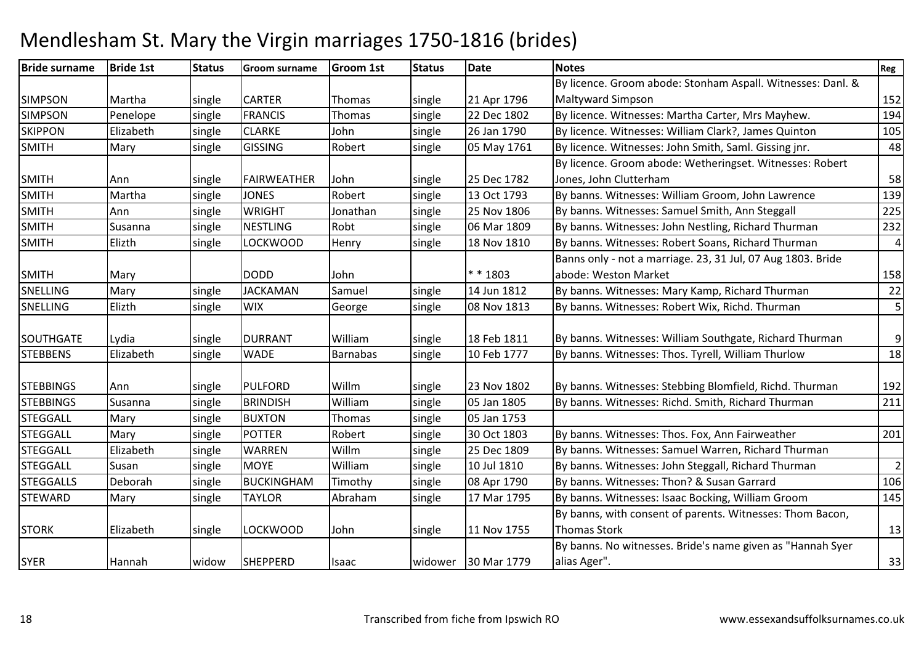| <b>Bride surname</b> | <b>Bride 1st</b> | <b>Status</b> | <b>Groom surname</b> | <b>Groom 1st</b> | <b>Status</b> | <b>Date</b>         | <b>Notes</b>                                                | Reg                     |
|----------------------|------------------|---------------|----------------------|------------------|---------------|---------------------|-------------------------------------------------------------|-------------------------|
|                      |                  |               |                      |                  |               |                     | By licence. Groom abode: Stonham Aspall. Witnesses: Danl. & |                         |
| <b>SIMPSON</b>       | Martha           | single        | <b>CARTER</b>        | Thomas           | single        | 21 Apr 1796         | <b>Maltyward Simpson</b>                                    | 152                     |
| <b>SIMPSON</b>       | Penelope         | single        | <b>FRANCIS</b>       | Thomas           | single        | 22 Dec 1802         | By licence. Witnesses: Martha Carter, Mrs Mayhew.           | 194                     |
| <b>SKIPPON</b>       | Elizabeth        | single        | <b>CLARKE</b>        | John             | single        | 26 Jan 1790         | By licence. Witnesses: William Clark?, James Quinton        | 105                     |
| <b>SMITH</b>         | Mary             | single        | <b>GISSING</b>       | Robert           | single        | 05 May 1761         | By licence. Witnesses: John Smith, Saml. Gissing jnr.       | 48                      |
|                      |                  |               |                      |                  |               |                     | By licence. Groom abode: Wetheringset. Witnesses: Robert    |                         |
| <b>SMITH</b>         | Ann              | single        | <b>FAIRWEATHER</b>   | John             | single        | 25 Dec 1782         | Jones, John Clutterham                                      | 58                      |
| <b>SMITH</b>         | Martha           | single        | <b>JONES</b>         | Robert           | single        | 13 Oct 1793         | By banns. Witnesses: William Groom, John Lawrence           | 139                     |
| SMITH                | Ann              | single        | <b>WRIGHT</b>        | Jonathan         | single        | 25 Nov 1806         | By banns. Witnesses: Samuel Smith, Ann Steggall             | 225                     |
| <b>SMITH</b>         | Susanna          | single        | <b>NESTLING</b>      | Robt             | single        | 06 Mar 1809         | By banns. Witnesses: John Nestling, Richard Thurman         | 232                     |
| <b>SMITH</b>         | Elizth           | single        | <b>LOCKWOOD</b>      | Henry            | single        | 18 Nov 1810         | By banns. Witnesses: Robert Soans, Richard Thurman          | $\overline{\mathbf{4}}$ |
|                      |                  |               |                      |                  |               |                     | Banns only - not a marriage. 23, 31 Jul, 07 Aug 1803. Bride |                         |
| <b>SMITH</b>         | Mary             |               | <b>DODD</b>          | John             |               | * * 1803            | abode: Weston Market                                        | 158                     |
| SNELLING             | Mary             | single        | <b>JACKAMAN</b>      | Samuel           | single        | 14 Jun 1812         | By banns. Witnesses: Mary Kamp, Richard Thurman             | 22                      |
| SNELLING             | Elizth           | single        | <b>WIX</b>           | George           | single        | 08 Nov 1813         | By banns. Witnesses: Robert Wix, Richd. Thurman             | 5                       |
|                      |                  |               |                      |                  |               |                     |                                                             |                         |
| SOUTHGATE            | Lydia            | single        | <b>DURRANT</b>       | William          | single        | 18 Feb 1811         | By banns. Witnesses: William Southgate, Richard Thurman     | 9                       |
| <b>STEBBENS</b>      | Elizabeth        | single        | <b>WADE</b>          | Barnabas         | single        | 10 Feb 1777         | By banns. Witnesses: Thos. Tyrell, William Thurlow          | 18                      |
|                      |                  |               |                      |                  |               |                     |                                                             |                         |
| <b>STEBBINGS</b>     | Ann              | single        | <b>PULFORD</b>       | Willm            | single        | 23 Nov 1802         | By banns. Witnesses: Stebbing Blomfield, Richd. Thurman     | 192                     |
| <b>STEBBINGS</b>     | Susanna          | single        | <b>BRINDISH</b>      | William          | single        | 05 Jan 1805         | By banns. Witnesses: Richd. Smith, Richard Thurman          | 211                     |
| <b>STEGGALL</b>      | Mary             | single        | <b>BUXTON</b>        | Thomas           | single        | 05 Jan 1753         |                                                             |                         |
| <b>STEGGALL</b>      | Mary             | single        | <b>POTTER</b>        | Robert           | single        | 30 Oct 1803         | By banns. Witnesses: Thos. Fox, Ann Fairweather             | 201                     |
| <b>STEGGALL</b>      | Elizabeth        | single        | <b>WARREN</b>        | Willm            | single        | 25 Dec 1809         | By banns. Witnesses: Samuel Warren, Richard Thurman         |                         |
| <b>STEGGALL</b>      | Susan            | single        | <b>MOYE</b>          | William          | single        | 10 Jul 1810         | By banns. Witnesses: John Steggall, Richard Thurman         | $\overline{2}$          |
| <b>STEGGALLS</b>     | Deborah          | single        | <b>BUCKINGHAM</b>    | Timothy          | single        | 08 Apr 1790         | By banns. Witnesses: Thon? & Susan Garrard                  | 106                     |
| <b>STEWARD</b>       | Mary             | single        | <b>TAYLOR</b>        | Abraham          | single        | 17 Mar 1795         | By banns. Witnesses: Isaac Bocking, William Groom           | 145                     |
|                      |                  |               |                      |                  |               |                     | By banns, with consent of parents. Witnesses: Thom Bacon,   |                         |
| <b>STORK</b>         | Elizabeth        | single        | <b>LOCKWOOD</b>      | John             | single        | 11 Nov 1755         | <b>Thomas Stork</b>                                         | 13                      |
|                      |                  |               |                      |                  |               |                     | By banns. No witnesses. Bride's name given as "Hannah Syer  |                         |
| <b>SYER</b>          | Hannah           | widow         | SHEPPERD             | Isaac            |               | widower 30 Mar 1779 | alias Ager".                                                | 33                      |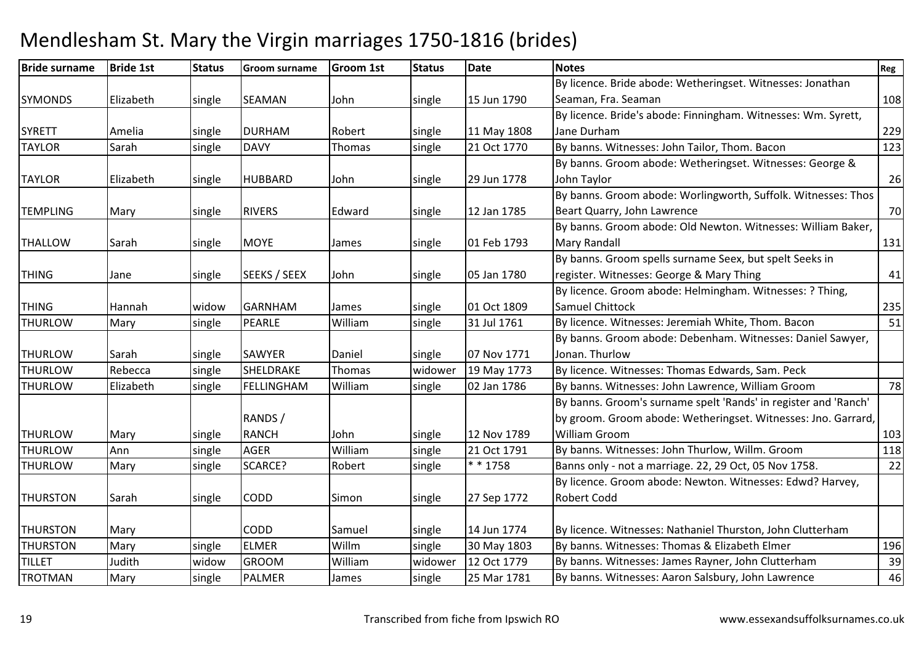| <b>Bride surname</b> | <b>Bride 1st</b> | <b>Status</b> | <b>Groom surname</b> | <b>Groom 1st</b> | <b>Status</b> | <b>Date</b> | <b>Notes</b>                                                    | Reg |
|----------------------|------------------|---------------|----------------------|------------------|---------------|-------------|-----------------------------------------------------------------|-----|
|                      |                  |               |                      |                  |               |             | By licence. Bride abode: Wetheringset. Witnesses: Jonathan      |     |
| <b>SYMONDS</b>       | Elizabeth        | single        | <b>SEAMAN</b>        | John             | single        | 15 Jun 1790 | Seaman, Fra. Seaman                                             | 108 |
|                      |                  |               |                      |                  |               |             | By licence. Bride's abode: Finningham. Witnesses: Wm. Syrett,   |     |
| <b>SYRETT</b>        | Amelia           | single        | <b>DURHAM</b>        | Robert           | single        | 11 May 1808 | Jane Durham                                                     | 229 |
| <b>TAYLOR</b>        | Sarah            | single        | <b>DAVY</b>          | Thomas           | single        | 21 Oct 1770 | By banns. Witnesses: John Tailor, Thom. Bacon                   | 123 |
|                      |                  |               |                      |                  |               |             | By banns. Groom abode: Wetheringset. Witnesses: George &        |     |
| <b>TAYLOR</b>        | Elizabeth        | single        | <b>HUBBARD</b>       | John             | single        | 29 Jun 1778 | John Taylor                                                     | 26  |
|                      |                  |               |                      |                  |               |             | By banns. Groom abode: Worlingworth, Suffolk. Witnesses: Thos   |     |
| <b>TEMPLING</b>      | Mary             | single        | <b>RIVERS</b>        | Edward           | single        | 12 Jan 1785 | Beart Quarry, John Lawrence                                     | 70  |
|                      |                  |               |                      |                  |               |             | By banns. Groom abode: Old Newton. Witnesses: William Baker,    |     |
| <b>THALLOW</b>       | Sarah            | single        | <b>MOYE</b>          | James            | single        | 01 Feb 1793 | <b>Mary Randall</b>                                             | 131 |
|                      |                  |               |                      |                  |               |             | By banns. Groom spells surname Seex, but spelt Seeks in         |     |
| <b>THING</b>         | Jane             | single        | SEEKS / SEEX         | John             | single        | 05 Jan 1780 | register. Witnesses: George & Mary Thing                        | 41  |
|                      |                  |               |                      |                  |               |             | By licence. Groom abode: Helmingham. Witnesses: ? Thing,        |     |
| <b>THING</b>         | Hannah           | widow         | <b>GARNHAM</b>       | James            | single        | 01 Oct 1809 | Samuel Chittock                                                 | 235 |
| <b>THURLOW</b>       | Mary             | single        | PEARLE               | William          | single        | 31 Jul 1761 | By licence. Witnesses: Jeremiah White, Thom. Bacon              | 51  |
|                      |                  |               |                      |                  |               |             | By banns. Groom abode: Debenham. Witnesses: Daniel Sawyer,      |     |
| <b>THURLOW</b>       | Sarah            | single        | <b>SAWYER</b>        | Daniel           | single        | 07 Nov 1771 | Jonan. Thurlow                                                  |     |
| <b>THURLOW</b>       | Rebecca          | single        | SHELDRAKE            | Thomas           | widower       | 19 May 1773 | By licence. Witnesses: Thomas Edwards, Sam. Peck                |     |
| <b>THURLOW</b>       | Elizabeth        | single        | <b>FELLINGHAM</b>    | William          | single        | 02 Jan 1786 | By banns. Witnesses: John Lawrence, William Groom               | 78  |
|                      |                  |               |                      |                  |               |             | By banns. Groom's surname spelt 'Rands' in register and 'Ranch' |     |
|                      |                  |               | RANDS /              |                  |               |             | by groom. Groom abode: Wetheringset. Witnesses: Jno. Garrard,   |     |
| <b>THURLOW</b>       | Mary             | single        | <b>RANCH</b>         | John             | single        | 12 Nov 1789 | <b>William Groom</b>                                            | 103 |
| <b>THURLOW</b>       | Ann              | single        | <b>AGER</b>          | William          | single        | 21 Oct 1791 | By banns. Witnesses: John Thurlow, Willm. Groom                 | 118 |
| <b>THURLOW</b>       | Mary             | single        | SCARCE?              | Robert           | single        | $* * 1758$  | Banns only - not a marriage. 22, 29 Oct, 05 Nov 1758.           | 22  |
|                      |                  |               |                      |                  |               |             | By licence. Groom abode: Newton. Witnesses: Edwd? Harvey,       |     |
| <b>THURSTON</b>      | Sarah            | single        | <b>CODD</b>          | Simon            | single        | 27 Sep 1772 | <b>Robert Codd</b>                                              |     |
|                      |                  |               |                      |                  |               |             |                                                                 |     |
| <b>THURSTON</b>      | Mary             |               | <b>CODD</b>          | Samuel           | single        | 14 Jun 1774 | By licence. Witnesses: Nathaniel Thurston, John Clutterham      |     |
| <b>THURSTON</b>      | Mary             | single        | <b>ELMER</b>         | Willm            | single        | 30 May 1803 | By banns. Witnesses: Thomas & Elizabeth Elmer                   | 196 |
| <b>TILLET</b>        | Judith           | widow         | <b>GROOM</b>         | William          | widower       | 12 Oct 1779 | By banns. Witnesses: James Rayner, John Clutterham              | 39  |
| <b>TROTMAN</b>       | Mary             | single        | <b>PALMER</b>        | James            | single        | 25 Mar 1781 | By banns. Witnesses: Aaron Salsbury, John Lawrence              | 46  |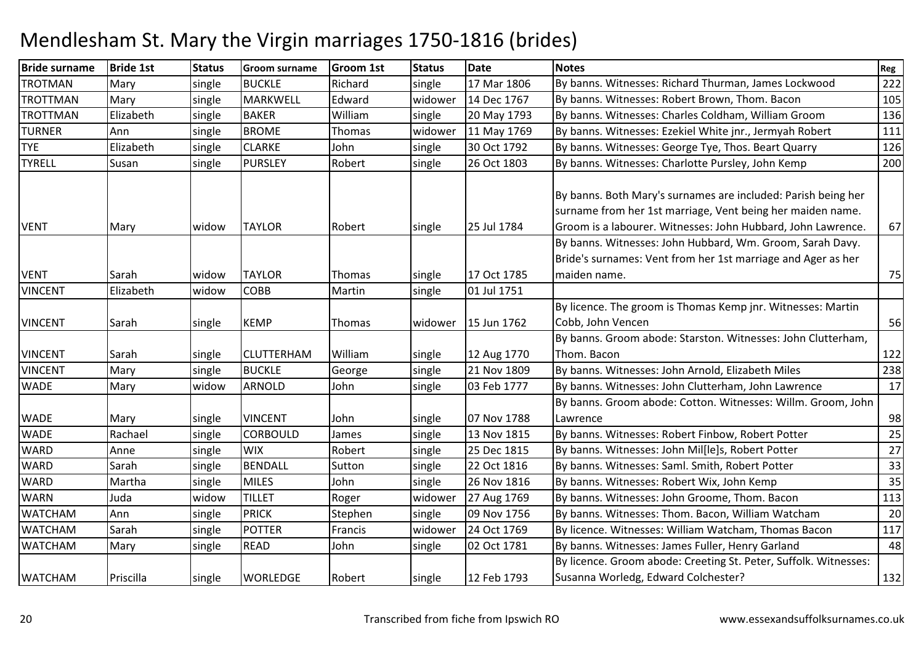| <b>Bride surname</b> | <b>Bride 1st</b> | <b>Status</b> | <b>Groom surname</b> | <b>Groom 1st</b> | <b>Status</b> | <b>Date</b> | <b>Notes</b>                                                     | Reg |
|----------------------|------------------|---------------|----------------------|------------------|---------------|-------------|------------------------------------------------------------------|-----|
| <b>TROTMAN</b>       | Mary             | single        | <b>BUCKLE</b>        | Richard          | single        | 17 Mar 1806 | By banns. Witnesses: Richard Thurman, James Lockwood             | 222 |
| <b>TROTTMAN</b>      | Mary             | single        | <b>MARKWELL</b>      | Edward           | widower       | 14 Dec 1767 | By banns. Witnesses: Robert Brown, Thom. Bacon                   | 105 |
| <b>TROTTMAN</b>      | Elizabeth        | single        | <b>BAKER</b>         | William          | single        | 20 May 1793 | By banns. Witnesses: Charles Coldham, William Groom              | 136 |
| <b>TURNER</b>        | Ann              | single        | <b>BROME</b>         | Thomas           | widower       | 11 May 1769 | By banns. Witnesses: Ezekiel White jnr., Jermyah Robert          | 111 |
| <b>TYE</b>           | Elizabeth        | single        | <b>CLARKE</b>        | John             | single        | 30 Oct 1792 | By banns. Witnesses: George Tye, Thos. Beart Quarry              | 126 |
| <b>TYRELL</b>        | Susan            | single        | <b>PURSLEY</b>       | Robert           | single        | 26 Oct 1803 | By banns. Witnesses: Charlotte Pursley, John Kemp                | 200 |
|                      |                  |               |                      |                  |               |             |                                                                  |     |
|                      |                  |               |                      |                  |               |             | By banns. Both Mary's surnames are included: Parish being her    |     |
|                      |                  |               |                      |                  |               |             | surname from her 1st marriage, Vent being her maiden name.       |     |
| <b>VENT</b>          | Mary             | widow         | <b>TAYLOR</b>        | Robert           | single        | 25 Jul 1784 | Groom is a labourer. Witnesses: John Hubbard, John Lawrence.     | 67  |
|                      |                  |               |                      |                  |               |             | By banns. Witnesses: John Hubbard, Wm. Groom, Sarah Davy.        |     |
|                      |                  |               |                      |                  |               |             | Bride's surnames: Vent from her 1st marriage and Ager as her     |     |
| <b>VENT</b>          | Sarah            | widow         | <b>TAYLOR</b>        | Thomas           | single        | 17 Oct 1785 | maiden name.                                                     | 75  |
| <b>VINCENT</b>       | Elizabeth        | widow         | <b>COBB</b>          | Martin           | single        | 01 Jul 1751 |                                                                  |     |
|                      |                  |               |                      |                  |               |             | By licence. The groom is Thomas Kemp jnr. Witnesses: Martin      |     |
| <b>VINCENT</b>       | Sarah            | single        | <b>KEMP</b>          | Thomas           | widower       | 15 Jun 1762 | Cobb, John Vencen                                                | 56  |
|                      |                  |               |                      |                  |               |             | By banns. Groom abode: Starston. Witnesses: John Clutterham,     |     |
| <b>VINCENT</b>       | Sarah            | single        | <b>CLUTTERHAM</b>    | William          | single        | 12 Aug 1770 | Thom. Bacon                                                      | 122 |
| <b>VINCENT</b>       | Mary             | single        | <b>BUCKLE</b>        | George           | single        | 21 Nov 1809 | By banns. Witnesses: John Arnold, Elizabeth Miles                | 238 |
| <b>WADE</b>          | Mary             | widow         | <b>ARNOLD</b>        | John             | single        | 03 Feb 1777 | By banns. Witnesses: John Clutterham, John Lawrence              | 17  |
|                      |                  |               |                      |                  |               |             | By banns. Groom abode: Cotton. Witnesses: Willm. Groom, John     |     |
| <b>WADE</b>          | Mary             | single        | <b>VINCENT</b>       | John             | single        | 07 Nov 1788 | Lawrence                                                         | 98  |
| <b>WADE</b>          | Rachael          | single        | <b>CORBOULD</b>      | James            | single        | 13 Nov 1815 | By banns. Witnesses: Robert Finbow, Robert Potter                | 25  |
| <b>WARD</b>          | Anne             | single        | <b>WIX</b>           | Robert           | single        | 25 Dec 1815 | By banns. Witnesses: John Mil[le]s, Robert Potter                | 27  |
| <b>WARD</b>          | Sarah            | single        | <b>BENDALL</b>       | Sutton           | single        | 22 Oct 1816 | By banns. Witnesses: Saml. Smith, Robert Potter                  | 33  |
| <b>WARD</b>          | Martha           | single        | <b>MILES</b>         | John             | single        | 26 Nov 1816 | By banns. Witnesses: Robert Wix, John Kemp                       | 35  |
| <b>WARN</b>          | Juda             | widow         | <b>TILLET</b>        | Roger            | widower       | 27 Aug 1769 | By banns. Witnesses: John Groome, Thom. Bacon                    | 113 |
| <b>WATCHAM</b>       | Ann              | single        | <b>PRICK</b>         | Stephen          | single        | 09 Nov 1756 | By banns. Witnesses: Thom. Bacon, William Watcham                | 20  |
| <b>WATCHAM</b>       | Sarah            | single        | <b>POTTER</b>        | Francis          | widower       | 24 Oct 1769 | By licence. Witnesses: William Watcham, Thomas Bacon             | 117 |
| <b>WATCHAM</b>       | Mary             | single        | <b>READ</b>          | John             | single        | 02 Oct 1781 | By banns. Witnesses: James Fuller, Henry Garland                 | 48  |
|                      |                  |               |                      |                  |               |             | By licence. Groom abode: Creeting St. Peter, Suffolk. Witnesses: |     |
| <b>WATCHAM</b>       | Priscilla        | single        | <b>WORLEDGE</b>      | Robert           | single        | 12 Feb 1793 | Susanna Worledg, Edward Colchester?                              | 132 |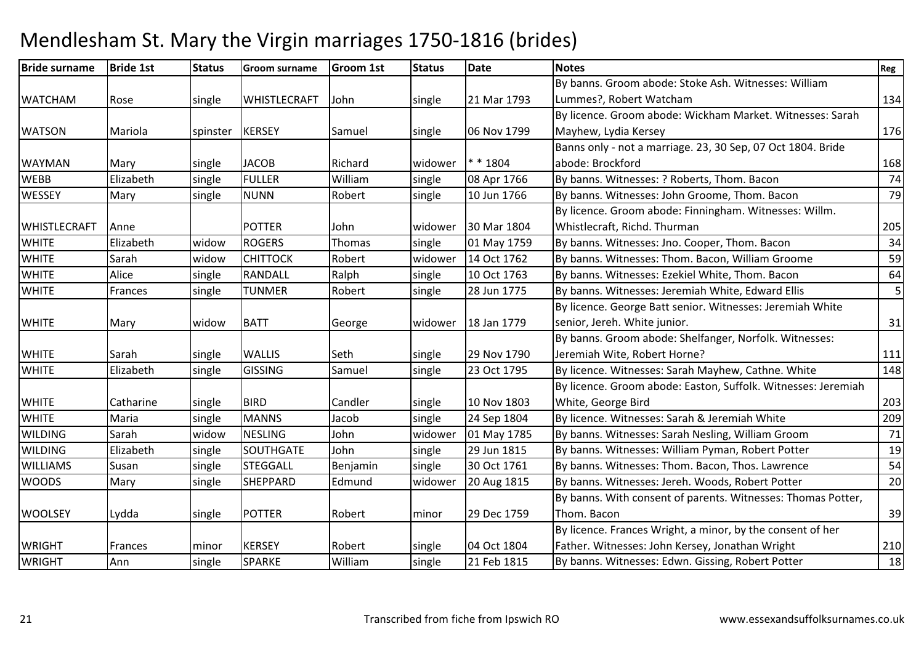| <b>Bride surname</b> | <b>Bride 1st</b> | <b>Status</b> | <b>Groom surname</b> | <b>Groom 1st</b> | <b>Status</b> | <b>Date</b> | <b>Notes</b>                                                  | Reg |
|----------------------|------------------|---------------|----------------------|------------------|---------------|-------------|---------------------------------------------------------------|-----|
|                      |                  |               |                      |                  |               |             | By banns. Groom abode: Stoke Ash. Witnesses: William          |     |
| <b>WATCHAM</b>       | Rose             | single        | WHISTLECRAFT         | John             | single        | 21 Mar 1793 | Lummes?, Robert Watcham                                       | 134 |
|                      |                  |               |                      |                  |               |             | By licence. Groom abode: Wickham Market. Witnesses: Sarah     |     |
| <b>WATSON</b>        | Mariola          | spinster      | <b>KERSEY</b>        | Samuel           | single        | 06 Nov 1799 | Mayhew, Lydia Kersey                                          | 176 |
|                      |                  |               |                      |                  |               |             | Banns only - not a marriage. 23, 30 Sep, 07 Oct 1804. Bride   |     |
| <b>WAYMAN</b>        | Mary             | single        | <b>JACOB</b>         | Richard          | widower       | * * 1804    | abode: Brockford                                              | 168 |
| <b>WEBB</b>          | Elizabeth        | single        | <b>FULLER</b>        | William          | single        | 08 Apr 1766 | By banns. Witnesses: ? Roberts, Thom. Bacon                   | 74  |
| <b>WESSEY</b>        | Mary             | single        | <b>NUNN</b>          | Robert           | single        | 10 Jun 1766 | By banns. Witnesses: John Groome, Thom. Bacon                 | 79  |
|                      |                  |               |                      |                  |               |             | By licence. Groom abode: Finningham. Witnesses: Willm.        |     |
| WHISTLECRAFT         | Anne             |               | <b>POTTER</b>        | John             | widower       | 30 Mar 1804 | Whistlecraft, Richd. Thurman                                  | 205 |
| <b>WHITE</b>         | Elizabeth        | widow         | <b>ROGERS</b>        | Thomas           | single        | 01 May 1759 | By banns. Witnesses: Jno. Cooper, Thom. Bacon                 | 34  |
| <b>WHITE</b>         | Sarah            | widow         | <b>CHITTOCK</b>      | Robert           | widower       | 14 Oct 1762 | By banns. Witnesses: Thom. Bacon, William Groome              | 59  |
| <b>WHITE</b>         | Alice            | single        | <b>RANDALL</b>       | Ralph            | single        | 10 Oct 1763 | By banns. Witnesses: Ezekiel White, Thom. Bacon               | 64  |
| <b>WHITE</b>         | Frances          | single        | <b>TUNMER</b>        | Robert           | single        | 28 Jun 1775 | By banns. Witnesses: Jeremiah White, Edward Ellis             | 5   |
|                      |                  |               |                      |                  |               |             | By licence. George Batt senior. Witnesses: Jeremiah White     |     |
| <b>WHITE</b>         | Mary             | widow         | <b>BATT</b>          | George           | widower       | 18 Jan 1779 | senior, Jereh. White junior.                                  | 31  |
|                      |                  |               |                      |                  |               |             | By banns. Groom abode: Shelfanger, Norfolk. Witnesses:        |     |
| <b>WHITE</b>         | Sarah            | single        | <b>WALLIS</b>        | Seth             | single        | 29 Nov 1790 | Jeremiah Wite, Robert Horne?                                  | 111 |
| <b>WHITE</b>         | Elizabeth        | single        | <b>GISSING</b>       | Samuel           | single        | 23 Oct 1795 | By licence. Witnesses: Sarah Mayhew, Cathne. White            | 148 |
|                      |                  |               |                      |                  |               |             | By licence. Groom abode: Easton, Suffolk. Witnesses: Jeremiah |     |
| <b>WHITE</b>         | Catharine        | single        | <b>BIRD</b>          | Candler          | single        | 10 Nov 1803 | White, George Bird                                            | 203 |
| <b>WHITE</b>         | Maria            | single        | <b>MANNS</b>         | Jacob            | single        | 24 Sep 1804 | By licence. Witnesses: Sarah & Jeremiah White                 | 209 |
| <b>WILDING</b>       | Sarah            | widow         | <b>NESLING</b>       | John             | widower       | 01 May 1785 | By banns. Witnesses: Sarah Nesling, William Groom             | 71  |
| <b>WILDING</b>       | Elizabeth        | single        | <b>SOUTHGATE</b>     | John             | single        | 29 Jun 1815 | By banns. Witnesses: William Pyman, Robert Potter             | 19  |
| <b>WILLIAMS</b>      | Susan            | single        | <b>STEGGALL</b>      | Benjamin         | single        | 30 Oct 1761 | By banns. Witnesses: Thom. Bacon, Thos. Lawrence              | 54  |
| <b>WOODS</b>         | Mary             | single        | SHEPPARD             | Edmund           | widower       | 20 Aug 1815 | By banns. Witnesses: Jereh. Woods, Robert Potter              | 20  |
|                      |                  |               |                      |                  |               |             | By banns. With consent of parents. Witnesses: Thomas Potter,  |     |
| <b>WOOLSEY</b>       | Lydda            | single        | <b>POTTER</b>        | Robert           | minor         | 29 Dec 1759 | Thom. Bacon                                                   | 39  |
|                      |                  |               |                      |                  |               |             | By licence. Frances Wright, a minor, by the consent of her    |     |
| <b>WRIGHT</b>        | Frances          | minor         | <b>KERSEY</b>        | Robert           | single        | 04 Oct 1804 | Father. Witnesses: John Kersey, Jonathan Wright               | 210 |
| <b>WRIGHT</b>        | Ann              | single        | <b>SPARKE</b>        | William          | single        | 21 Feb 1815 | By banns. Witnesses: Edwn. Gissing, Robert Potter             | 18  |